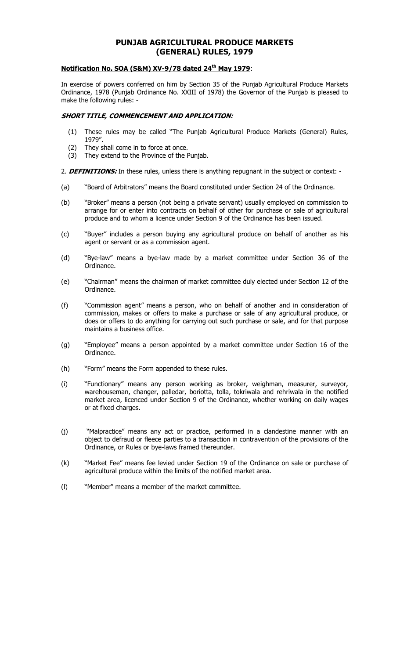# **PUNJAB AGRICULTURAL PRODUCE MARKETS (GENERAL) RULES, 1979**

# **Notification No. SOA (S&M) XV-9/78 dated 24th May 1979**:

In exercise of powers conferred on him by Section 35 of the Punjab Agricultural Produce Markets Ordinance, 1978 (Punjab Ordinance No. XXIII of 1978) the Governor of the Punjab is pleased to make the following rules: -

# **SHORT TITLE, COMMENCEMENT AND APPLICATION:**

- (1) These rules may be called "The Punjab Agricultural Produce Markets (General) Rules, 1979".
- (2) They shall come in to force at once.
- (3) They extend to the Province of the Punjab.

2. **DEFINITIONS:** In these rules, unless there is anything repugnant in the subject or context: -

- (a) "Board of Arbitrators" means the Board constituted under Section 24 of the Ordinance.
- (b) "Broker" means a person (not being a private servant) usually employed on commission to arrange for or enter into contracts on behalf of other for purchase or sale of agricultural produce and to whom a licence under Section 9 of the Ordinance has been issued.
- (c) "Buyer" includes a person buying any agricultural produce on behalf of another as his agent or servant or as a commission agent.
- (d) "Bye-law" means a bye-law made by a market committee under Section 36 of the Ordinance.
- (e) "Chairman" means the chairman of market committee duly elected under Section 12 of the Ordinance.
- (f) "Commission agent" means a person, who on behalf of another and in consideration of commission, makes or offers to make a purchase or sale of any agricultural produce, or does or offers to do anything for carrying out such purchase or sale, and for that purpose maintains a business office.
- (g) "Employee" means a person appointed by a market committee under Section 16 of the Ordinance.
- (h) "Form" means the Form appended to these rules.
- (i) "Functionary" means any person working as broker, weighman, measurer, surveyor, warehouseman, changer, palledar, boriotta, tolla, tokriwala and rehriwala in the notified market area, licenced under Section 9 of the Ordinance, whether working on daily wages or at fixed charges.
- (j) "Malpractice" means any act or practice, performed in a clandestine manner with an object to defraud or fleece parties to a transaction in contravention of the provisions of the Ordinance, or Rules or bye-laws framed thereunder.
- (k) "Market Fee" means fee levied under Section 19 of the Ordinance on sale or purchase of agricultural produce within the limits of the notified market area.
- (l) "Member" means a member of the market committee.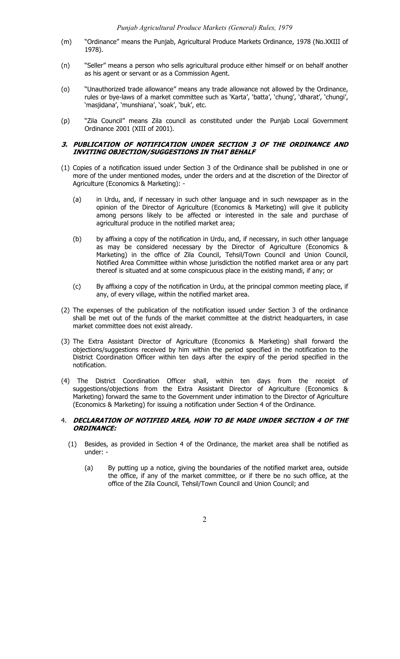- (m) "Ordinance" means the Punjab, Agricultural Produce Markets Ordinance, 1978 (No.XXIII of 1978).
- (n) "Seller" means a person who sells agricultural produce either himself or on behalf another as his agent or servant or as a Commission Agent.
- (o) "Unauthorized trade allowance" means any trade allowance not allowed by the Ordinance, rules or bye-laws of a market committee such as 'Karta', 'batta', 'chung', 'dharat', 'chungi', 'masjidana', 'munshiana', 'soak', 'buk', etc.
- (p) "Zila Council" means Zila council as constituted under the Punjab Local Government Ordinance 2001 (XIII of 2001).

## **3. PUBLICATION OF NOTIFICATION UNDER SECTION 3 OF THE ORDINANCE AND INVITING OBJECTION/SUGGESTIONS IN THAT BEHALF**

- (1) Copies of a notification issued under Section 3 of the Ordinance shall be published in one or more of the under mentioned modes, under the orders and at the discretion of the Director of Agriculture (Economics & Marketing): -
	- (a) in Urdu, and, if necessary in such other language and in such newspaper as in the opinion of the Director of Agriculture (Economics & Marketing) will give it publicity among persons likely to be affected or interested in the sale and purchase of agricultural produce in the notified market area;
	- (b) by affixing a copy of the notification in Urdu, and, if necessary, in such other language as may be considered necessary by the Director of Agriculture (Economics & Marketing) in the office of Zila Council, Tehsil/Town Council and Union Council, Notified Area Committee within whose jurisdiction the notified market area or any part thereof is situated and at some conspicuous place in the existing mandi, if any; or
	- (c) By affixing a copy of the notification in Urdu, at the principal common meeting place, if any, of every village, within the notified market area.
- (2) The expenses of the publication of the notification issued under Section 3 of the ordinance shall be met out of the funds of the market committee at the district headquarters, in case market committee does not exist already.
- (3) The Extra Assistant Director of Agriculture (Economics & Marketing) shall forward the objections/suggestions received by him within the period specified in the notification to the District Coordination Officer within ten days after the expiry of the period specified in the notification.
- (4) The District Coordination Officer shall, within ten days from the receipt of suggestions/objections from the Extra Assistant Director of Agriculture (Economics & Marketing) forward the same to the Government under intimation to the Director of Agriculture (Economics & Marketing) for issuing a notification under Section 4 of the Ordinance.

## 4. **DECLARATION OF NOTIFIED AREA, HOW TO BE MADE UNDER SECTION 4 OF THE ORDINANCE:**

- (1) Besides, as provided in Section 4 of the Ordinance, the market area shall be notified as under: -
	- (a) By putting up a notice, giving the boundaries of the notified market area, outside the office, if any of the market committee, or if there be no such office, at the office of the Zila Council, Tehsil/Town Council and Union Council; and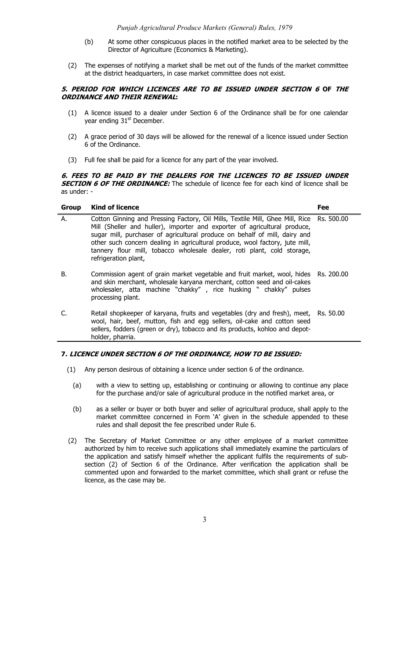- (b) At some other conspicuous places in the notified market area to be selected by the Director of Agriculture (Economics & Marketing).
- (2) The expenses of notifying a market shall be met out of the funds of the market committee at the district headquarters, in case market committee does not exist.

## **5. PERIOD FOR WHICH LICENCES ARE TO BE ISSUED UNDER SECTION 6 OF THE ORDINANCE AND THEIR RENEWAL:**

- (1) A licence issued to a dealer under Section 6 of the Ordinance shall be for one calendar year ending 31<sup>st</sup> December.
- (2) A grace period of 30 days will be allowed for the renewal of a licence issued under Section 6 of the Ordinance.
- (3) Full fee shall be paid for a licence for any part of the year involved.

## **6. FEES TO BE PAID BY THE DEALERS FOR THE LICENCES TO BE ISSUED UNDER SECTION 6 OF THE ORDINANCE:** The schedule of licence fee for each kind of licence shall be as under: -

| <b>Group</b> | <b>Kind of licence</b>                                                                                                                                                                                                                                                                                                                                                                                                                 | Fee |
|--------------|----------------------------------------------------------------------------------------------------------------------------------------------------------------------------------------------------------------------------------------------------------------------------------------------------------------------------------------------------------------------------------------------------------------------------------------|-----|
| А.           | Cotton Ginning and Pressing Factory, Oil Mills, Textile Mill, Ghee Mill, Rice Rs. 500.00<br>Mill (Sheller and huller), importer and exporter of agricultural produce,<br>sugar mill, purchaser of agricultural produce on behalf of mill, dairy and<br>other such concern dealing in agricultural produce, wool factory, jute mill,<br>tannery flour mill, tobacco wholesale dealer, roti plant, cold storage,<br>refrigeration plant, |     |
| В.           | Commission agent of grain market vegetable and fruit market, wool, hides Rs. 200.00<br>and skin merchant, wholesale karyana merchant, cotton seed and oil-cakes<br>wholesaler, atta machine "chakky", rice husking " chakky" pulses<br>processing plant.                                                                                                                                                                               |     |
|              | Retail shopkeeper of karyana, fruits and vegetables (dry and fresh), meet, Rs. 50.00<br>wool, hair, beef, mutton, fish and egg sellers, oil-cake and cotton seed<br>sellers, fodders (green or dry), tobacco and its products, kohloo and depot-<br>holder, pharria.                                                                                                                                                                   |     |

# **7. LICENCE UNDER SECTION 6 OF THE ORDINANCE, HOW TO BE ISSUED:**

- (1) Any person desirous of obtaining a licence under section 6 of the ordinance.
	- (a) with a view to setting up, establishing or continuing or allowing to continue any place for the purchase and/or sale of agricultural produce in the notified market area, or
	- (b) as a seller or buyer or both buyer and seller of agricultural produce, shall apply to the market committee concerned in Form 'A' given in the schedule appended to these rules and shall deposit the fee prescribed under Rule 6.
- (2) The Secretary of Market Committee or any other employee of a market committee authorized by him to receive such applications shall immediately examine the particulars of the application and satisfy himself whether the applicant fulfils the requirements of subsection (2) of Section 6 of the Ordinance. After verification the application shall be commented upon and forwarded to the market committee, which shall grant or refuse the licence, as the case may be.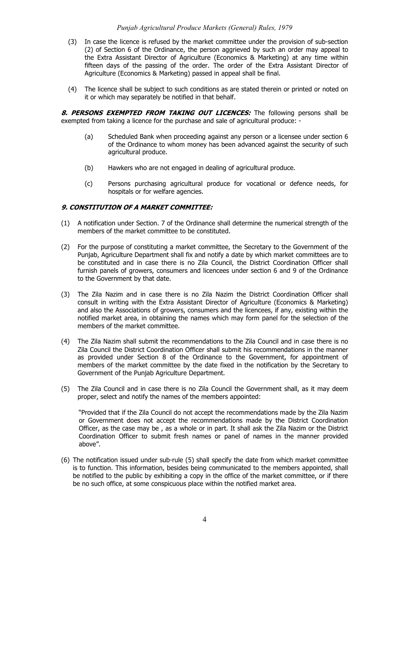#### *Punjab Agricultural Produce Markets (General) Rules, 1979*

- (3) In case the licence is refused by the market committee under the provision of sub-section (2) of Section 6 of the Ordinance, the person aggrieved by such an order may appeal to the Extra Assistant Director of Agriculture (Economics & Marketing) at any time within fifteen days of the passing of the order. The order of the Extra Assistant Director of Agriculture (Economics & Marketing) passed in appeal shall be final.
- (4) The licence shall be subject to such conditions as are stated therein or printed or noted on it or which may separately be notified in that behalf.

8. PERSONS EXEMPTED FROM TAKING OUT LICENCES: The following persons shall be exempted from taking a licence for the purchase and sale of agricultural produce: -

- (a) Scheduled Bank when proceeding against any person or a licensee under section 6 of the Ordinance to whom money has been advanced against the security of such agricultural produce.
- (b) Hawkers who are not engaged in dealing of agricultural produce.
- (c) Persons purchasing agricultural produce for vocational or defence needs, for hospitals or for welfare agencies.

## **9. CONSTITUTION OF A MARKET COMMITTEE:**

- (1) A notification under Section. 7 of the Ordinance shall determine the numerical strength of the members of the market committee to be constituted.
- (2) For the purpose of constituting a market committee, the Secretary to the Government of the Punjab, Agriculture Department shall fix and notify a date by which market committees are to be constituted and in case there is no Zila Council, the District Coordination Officer shall furnish panels of growers, consumers and licencees under section 6 and 9 of the Ordinance to the Government by that date.
- (3) The Zila Nazim and in case there is no Zila Nazim the District Coordination Officer shall consult in writing with the Extra Assistant Director of Agriculture (Economics & Marketing) and also the Associations of growers, consumers and the licencees, if any, existing within the notified market area, in obtaining the names which may form panel for the selection of the members of the market committee.
- (4) The Zila Nazim shall submit the recommendations to the Zila Council and in case there is no Zila Council the District Coordination Officer shall submit his recommendations in the manner as provided under Section 8 of the Ordinance to the Government, for appointment of members of the market committee by the date fixed in the notification by the Secretary to Government of the Punjab Agriculture Department.
- (5) The Zila Council and in case there is no Zila Council the Government shall, as it may deem proper, select and notify the names of the members appointed:

"Provided that if the Zila Council do not accept the recommendations made by the Zila Nazim or Government does not accept the recommendations made by the District Coordination Officer, as the case may be , as a whole or in part. It shall ask the Zila Nazim or the District Coordination Officer to submit fresh names or panel of names in the manner provided above".

(6) The notification issued under sub-rule (5) shall specify the date from which market committee is to function. This information, besides being communicated to the members appointed, shall be notified to the public by exhibiting a copy in the office of the market committee, or if there be no such office, at some conspicuous place within the notified market area.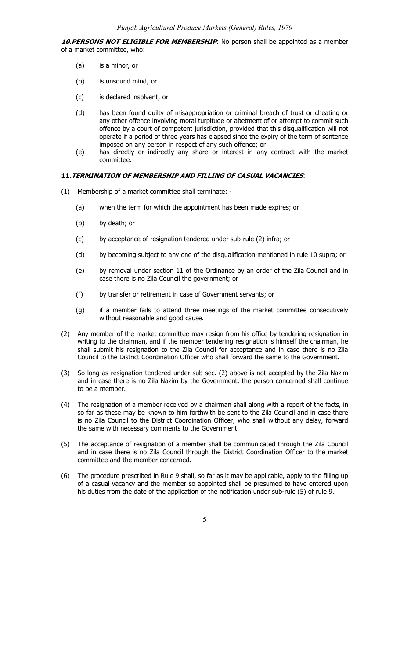**10.PERSONS NOT ELIGIBLE FOR MEMBERSHIP**: No person shall be appointed as a member of a market committee, who:

- (a) is a minor, or
- (b) is unsound mind; or
- (c) is declared insolvent; or
- (d) has been found guilty of misappropriation or criminal breach of trust or cheating or any other offence involving moral turpitude or abetment of or attempt to commit such offence by a court of competent jurisdiction, provided that this disqualification will not operate if a period of three years has elapsed since the expiry of the term of sentence imposed on any person in respect of any such offence; or
- (e) has directly or indirectly any share or interest in any contract with the market committee.

# **11.TERMINATION OF MEMBERSHIP AND FILLING OF CASUAL VACANCIES**:

- (1) Membership of a market committee shall terminate:
	- (a) when the term for which the appointment has been made expires; or
	- (b) by death; or
	- (c) by acceptance of resignation tendered under sub-rule (2) infra; or
	- (d) by becoming subject to any one of the disqualification mentioned in rule 10 supra; or
	- (e) by removal under section 11 of the Ordinance by an order of the Zila Council and in case there is no Zila Council the government; or
	- (f) by transfer or retirement in case of Government servants; or
	- (g) if a member fails to attend three meetings of the market committee consecutively without reasonable and good cause.
- (2) Any member of the market committee may resign from his office by tendering resignation in writing to the chairman, and if the member tendering resignation is himself the chairman, he shall submit his resignation to the Zila Council for acceptance and in case there is no Zila Council to the District Coordination Officer who shall forward the same to the Government.
- (3) So long as resignation tendered under sub-sec. (2) above is not accepted by the Zila Nazim and in case there is no Zila Nazim by the Government, the person concerned shall continue to be a member.
- (4) The resignation of a member received by a chairman shall along with a report of the facts, in so far as these may be known to him forthwith be sent to the Zila Council and in case there is no Zila Council to the District Coordination Officer, who shall without any delay, forward the same with necessary comments to the Government.
- (5) The acceptance of resignation of a member shall be communicated through the Zila Council and in case there is no Zila Council through the District Coordination Officer to the market committee and the member concerned.
- (6) The procedure prescribed in Rule 9 shall, so far as it may be applicable, apply to the filling up of a casual vacancy and the member so appointed shall be presumed to have entered upon his duties from the date of the application of the notification under sub-rule (5) of rule 9.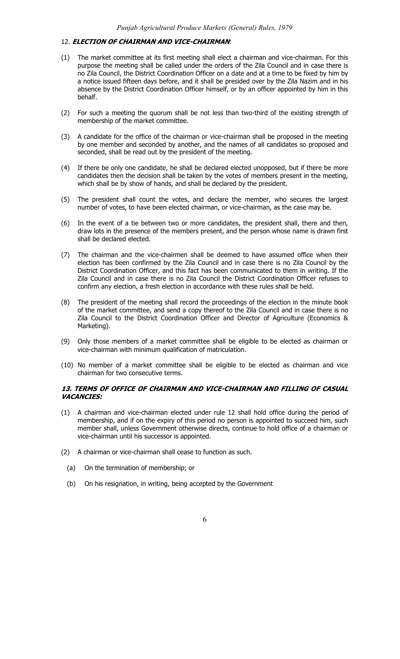## 12. **ELECTION OF CHAIRMAN AND VICE-CHAIRMAN**:

- (1) The market committee at its first meeting shall elect a chairman and vice-chairman. For this purpose the meeting shall be called under the orders of the Zila Council and in case there is no Zila Council, the District Coordination Officer on a date and at a time to be fixed by him by a notice issued fifteen days before, and it shall be presided over by the Zila Nazim and in his absence by the District Coordination Officer himself, or by an officer appointed by him in this behalf.
- (2) For such a meeting the quorum shall be not less than two-third of the existing strength of membership of the market committee.
- (3) A candidate for the office of the chairman or vice-chairman shall be proposed in the meeting by one member and seconded by another, and the names of all candidates so proposed and seconded, shall be read out by the president of the meeting.
- (4) If there be only one candidate, he shall be declared elected unopposed, but if there be more candidates then the decision shall be taken by the votes of members present in the meeting, which shall be by show of hands, and shall be declared by the president.
- (5) The president shall count the votes, and declare the member, who secures the largest number of votes, to have been elected chairman, or vice-chairman, as the case may be.
- (6) In the event of a tie between two or more candidates, the president shall, there and then, draw lots in the presence of the members present, and the person whose name is drawn first shall be declared elected.
- (7) The chairman and the vice-chairmen shall be deemed to have assumed office when their election has been confirmed by the Zila Council and in case there is no Zila Council by the District Coordination Officer, and this fact has been communicated to them in writing. If the Zila Council and in case there is no Zila Council the District Coordination Officer refuses to confirm any election, a fresh election in accordance with these rules shall be held.
- (8) The president of the meeting shall record the proceedings of the election in the minute book of the market committee, and send a copy thereof to the Zila Council and in case there is no Zila Council to the District Coordination Officer and Director of Agriculture (Economics & Marketing).
- (9) Only those members of a market committee shall be eligible to be elected as chairman or vice-chairman with minimum qualification of matriculation.
- (10) No member of a market committee shall be eligible to be elected as chairman and vice chairman for two consecutive terms.

## **13. TERMS OF OFFICE OF CHAIRMAN AND VICE-CHAIRMAN AND FILLING OF CASUAL VACANCIES:**

- (1) A chairman and vice-chairman elected under rule 12 shall hold office during the period of membership, and if on the expiry of this period no person is appointed to succeed him, such member shall, unless Government otherwise directs, continue to hold office of a chairman or vice-chairman until his successor is appointed.
- (2) A chairman or vice-chairman shall cease to function as such.
	- (a) On the termination of membership; or
	- (b) On his resignation, in writing, being accepted by the Government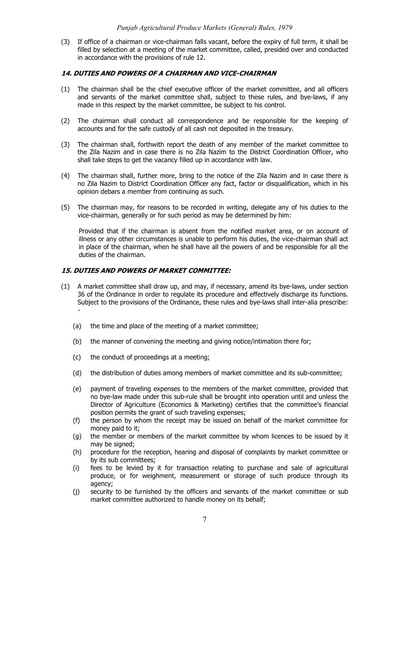(3) If office of a chairman or vice-chairman falls vacant, before the expiry of full term, it shall be filled by selection at a meeting of the market committee, called, presided over and conducted in accordance with the provisions of rule 12.

#### **14. DUTIES AND POWERS OF A CHAIRMAN AND VICE-CHAIRMAN**

- (1) The chairman shall be the chief executive officer of the market committee, and all officers and servants of the market committee shall, subject to these rules, and bye-laws, if any made in this respect by the market committee, be subject to his control.
- (2) The chairman shall conduct all correspondence and be responsible for the keeping of accounts and for the safe custody of all cash not deposited in the treasury.
- (3) The chairman shall, forthwith report the death of any member of the market committee to the Zila Nazim and in case there is no Zila Nazim to the District Coordination Officer, who shall take steps to get the vacancy filled up in accordance with law.
- (4) The chairman shall, further more, bring to the notice of the Zila Nazim and in case there is no Zila Nazim to District Coordination Officer any fact, factor or disqualification, which in his opinion debars a member from continuing as such.
- (5) The chairman may, for reasons to be recorded in writing, delegate any of his duties to the vice-chairman, generally or for such period as may be determined by him:

Provided that if the chairman is absent from the notified market area, or on account of illness or any other circumstances is unable to perform his duties, the vice-chairman shall act in place of the chairman, when he shall have all the powers of and be responsible for all the duties of the chairman.

## **15. DUTIES AND POWERS OF MARKET COMMITTEE:**

- (1) A market committee shall draw up, and may, if necessary, amend its bye-laws, under section 36 of the Ordinance in order to regulate its procedure and effectively discharge its functions. Subject to the provisions of the Ordinance, these rules and bye-laws shall inter-alia prescribe: -
	- (a) the time and place of the meeting of a market committee;
	- (b) the manner of convening the meeting and giving notice/intimation there for;
	- (c) the conduct of proceedings at a meeting;
	- (d) the distribution of duties among members of market committee and its sub-committee;
	- (e) payment of traveling expenses to the members of the market committee, provided that no bye-law made under this sub-rule shall be brought into operation until and unless the Director of Agriculture (Economics & Marketing) certifies that the committee's financial position permits the grant of such traveling expenses;
	- (f) the person by whom the receipt may be issued on behalf of the market committee for money paid to it;
	- (g) the member or members of the market committee by whom licences to be issued by it may be signed;
	- (h) procedure for the reception, hearing and disposal of complaints by market committee or by its sub committees;
	- (i) fees to be levied by it for transaction relating to purchase and sale of agricultural produce, or for weighment, measurement or storage of such produce through its agency;
	- (j) security to be furnished by the officers and servants of the market committee or sub market committee authorized to handle money on its behalf;

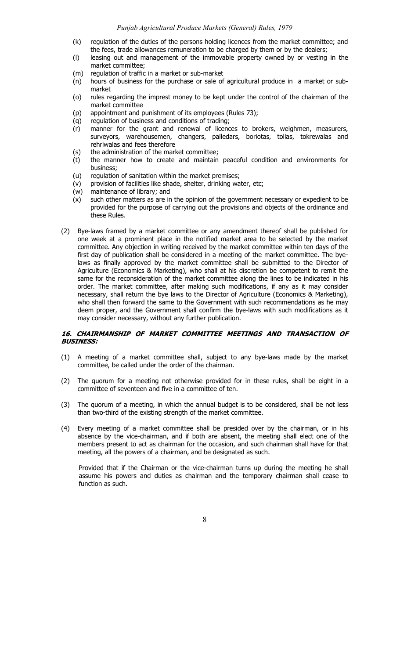- (k) regulation of the duties of the persons holding licences from the market committee; and the fees, trade allowances remuneration to be charged by them or by the dealers;
- (l) leasing out and management of the immovable property owned by or vesting in the market committee;
- (m) regulation of traffic in a market or sub-market
- (n) hours of business for the purchase or sale of agricultural produce in a market or submarket
- (o) rules regarding the imprest money to be kept under the control of the chairman of the market committee
- (p) appointment and punishment of its employees (Rules 73);
- (q) regulation of business and conditions of trading;
- (r) manner for the grant and renewal of licences to brokers, weighmen, measurers, surveyors, warehousemen, changers, palledars, boriotas, tollas, tokrewalas and rehriwalas and fees therefore
- (s) the administration of the market committee;
- (t) the manner how to create and maintain peaceful condition and environments for business;
- (u) regulation of sanitation within the market premises;
- (v) provision of facilities like shade, shelter, drinking water, etc;
- (w) maintenance of library; and
- (x) such other matters as are in the opinion of the government necessary or expedient to be provided for the purpose of carrying out the provisions and objects of the ordinance and these Rules.
- (2) Bye-laws framed by a market committee or any amendment thereof shall be published for one week at a prominent place in the notified market area to be selected by the market committee. Any objection in writing received by the market committee within ten days of the first day of publication shall be considered in a meeting of the market committee. The byelaws as finally approved by the market committee shall be submitted to the Director of Agriculture (Economics & Marketing), who shall at his discretion be competent to remit the same for the reconsideration of the market committee along the lines to be indicated in his order. The market committee, after making such modifications, if any as it may consider necessary, shall return the bye laws to the Director of Agriculture (Economics & Marketing), who shall then forward the same to the Government with such recommendations as he may deem proper, and the Government shall confirm the bye-laws with such modifications as it may consider necessary, without any further publication.

## **16. CHAIRMANSHIP OF MARKET COMMITTEE MEETINGS AND TRANSACTION OF BUSINESS:**

- (1) A meeting of a market committee shall, subject to any bye-laws made by the market committee, be called under the order of the chairman.
- (2) The quorum for a meeting not otherwise provided for in these rules, shall be eight in a committee of seventeen and five in a committee of ten.
- (3) The quorum of a meeting, in which the annual budget is to be considered, shall be not less than two-third of the existing strength of the market committee.
- (4) Every meeting of a market committee shall be presided over by the chairman, or in his absence by the vice-chairman, and if both are absent, the meeting shall elect one of the members present to act as chairman for the occasion, and such chairman shall have for that meeting, all the powers of a chairman, and be designated as such.

Provided that if the Chairman or the vice-chairman turns up during the meeting he shall assume his powers and duties as chairman and the temporary chairman shall cease to function as such.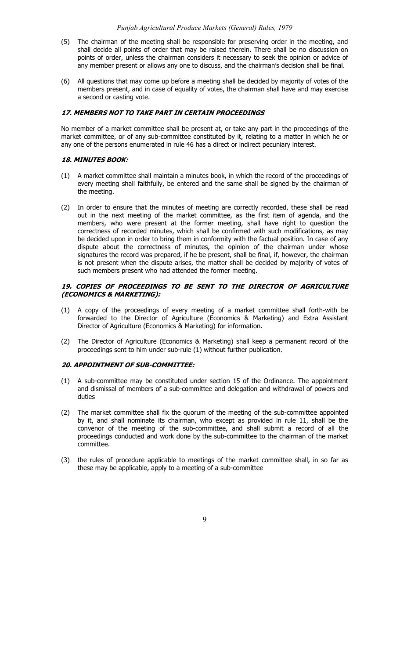- (5) The chairman of the meeting shall be responsible for preserving order in the meeting, and shall decide all points of order that may be raised therein. There shall be no discussion on points of order, unless the chairman considers it necessary to seek the opinion or advice of any member present or allows any one to discuss, and the chairman's decision shall be final.
- (6) All questions that may come up before a meeting shall be decided by majority of votes of the members present, and in case of equality of votes, the chairman shall have and may exercise a second or casting vote.

## **17. MEMBERS NOT TO TAKE PART IN CERTAIN PROCEEDINGS**

No member of a market committee shall be present at, or take any part in the proceedings of the market committee, or of any sub-committee constituted by it, relating to a matter in which he or any one of the persons enumerated in rule 46 has a direct or indirect pecuniary interest.

#### **18. MINUTES BOOK:**

- (1) A market committee shall maintain a minutes book, in which the record of the proceedings of every meeting shall faithfully, be entered and the same shall be signed by the chairman of the meeting.
- (2) In order to ensure that the minutes of meeting are correctly recorded, these shall be read out in the next meeting of the market committee, as the first item of agenda, and the members, who were present at the former meeting, shall have right to question the correctness of recorded minutes, which shall be confirmed with such modifications, as may be decided upon in order to bring them in conformity with the factual position. In case of any dispute about the correctness of minutes, the opinion of the chairman under whose signatures the record was prepared, if he be present, shall be final, if, however, the chairman is not present when the dispute arises, the matter shall be decided by majority of votes of such members present who had attended the former meeting.

# **19. COPIES OF PROCEEDINGS TO BE SENT TO THE DIRECTOR OF AGRICULTURE (ECONOMICS & MARKETING):**

- (1) A copy of the proceedings of every meeting of a market committee shall forth-with be forwarded to the Director of Agriculture (Economics & Marketing) and Extra Assistant Director of Agriculture (Economics & Marketing) for information.
- (2) The Director of Agriculture (Economics & Marketing) shall keep a permanent record of the proceedings sent to him under sub-rule (1) without further publication.

# **20. APPOINTMENT OF SUB-COMMITTEE:**

- (1) A sub-committee may be constituted under section 15 of the Ordinance. The appointment and dismissal of members of a sub-committee and delegation and withdrawal of powers and duties
- (2) The market committee shall fix the quorum of the meeting of the sub-committee appointed by it, and shall nominate its chairman, who except as provided in rule 11, shall be the convenor of the meeting of the sub-committee, and shall submit a record of all the proceedings conducted and work done by the sub-committee to the chairman of the market committee.
- (3) the rules of procedure applicable to meetings of the market committee shall, in so far as these may be applicable, apply to a meeting of a sub-committee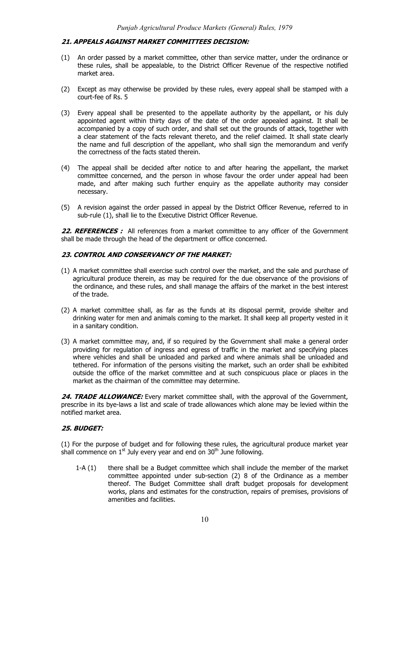#### **21. APPEALS AGAINST MARKET COMMITTEES DECISION:**

- (1) An order passed by a market committee, other than service matter, under the ordinance or these rules, shall be appealable, to the District Officer Revenue of the respective notified market area.
- (2) Except as may otherwise be provided by these rules, every appeal shall be stamped with a court-fee of Rs. 5
- (3) Every appeal shall be presented to the appellate authority by the appellant, or his duly appointed agent within thirty days of the date of the order appealed against. It shall be accompanied by a copy of such order, and shall set out the grounds of attack, together with a clear statement of the facts relevant thereto, and the relief claimed. It shall state clearly the name and full description of the appellant, who shall sign the memorandum and verify the correctness of the facts stated therein.
- (4) The appeal shall be decided after notice to and after hearing the appellant, the market committee concerned, and the person in whose favour the order under appeal had been made, and after making such further enquiry as the appellate authority may consider necessary.
- (5) A revision against the order passed in appeal by the District Officer Revenue, referred to in sub-rule (1), shall lie to the Executive District Officer Revenue.

22. REFERENCES : All references from a market committee to any officer of the Government shall be made through the head of the department or office concerned.

# **23. CONTROL AND CONSERVANCY OF THE MARKET:**

- (1) A market committee shall exercise such control over the market, and the sale and purchase of agricultural produce therein, as may be required for the due observance of the provisions of the ordinance, and these rules, and shall manage the affairs of the market in the best interest of the trade.
- (2) A market committee shall, as far as the funds at its disposal permit, provide shelter and drinking water for men and animals coming to the market. It shall keep all property vested in it in a sanitary condition.
- (3) A market committee may, and, if so required by the Government shall make a general order providing for regulation of ingress and egress of traffic in the market and specifying places where vehicles and shall be unloaded and parked and where animals shall be unloaded and tethered. For information of the persons visiting the market, such an order shall be exhibited outside the office of the market committee and at such conspicuous place or places in the market as the chairman of the committee may determine.

24. TRADE ALLOWANCE: Every market committee shall, with the approval of the Government, prescribe in its bye-laws a list and scale of trade allowances which alone may be levied within the notified market area.

# **25. BUDGET:**

(1) For the purpose of budget and for following these rules, the agricultural produce market year shall commence on  $1<sup>st</sup>$  July every year and end on  $30<sup>th</sup>$  June following.

1-A (1) there shall be a Budget committee which shall include the member of the market committee appointed under sub-section (2) 8 of the Ordinance as a member thereof. The Budget Committee shall draft budget proposals for development works, plans and estimates for the construction, repairs of premises, provisions of amenities and facilities.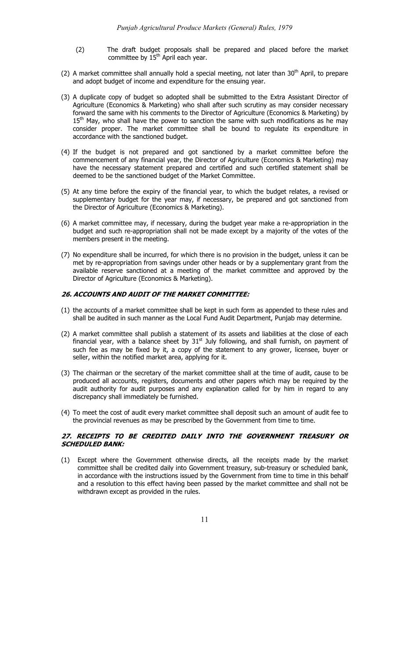- (2) The draft budget proposals shall be prepared and placed before the market committee by  $15<sup>th</sup>$  April each year.
- (2) A market committee shall annually hold a special meeting, not later than  $30<sup>th</sup>$  April, to prepare and adopt budget of income and expenditure for the ensuing year.
- (3) A duplicate copy of budget so adopted shall be submitted to the Extra Assistant Director of Agriculture (Economics & Marketing) who shall after such scrutiny as may consider necessary forward the same with his comments to the Director of Agriculture (Economics & Marketing) by  $15<sup>th</sup>$  May, who shall have the power to sanction the same with such modifications as he may consider proper. The market committee shall be bound to regulate its expenditure in accordance with the sanctioned budget.
- (4) If the budget is not prepared and got sanctioned by a market committee before the commencement of any financial year, the Director of Agriculture (Economics & Marketing) may have the necessary statement prepared and certified and such certified statement shall be deemed to be the sanctioned budget of the Market Committee.
- (5) At any time before the expiry of the financial year, to which the budget relates, a revised or supplementary budget for the year may, if necessary, be prepared and got sanctioned from the Director of Agriculture (Economics & Marketing).
- (6) A market committee may, if necessary, during the budget year make a re-appropriation in the budget and such re-appropriation shall not be made except by a majority of the votes of the members present in the meeting.
- (7) No expenditure shall be incurred, for which there is no provision in the budget, unless it can be met by re-appropriation from savings under other heads or by a supplementary grant from the available reserve sanctioned at a meeting of the market committee and approved by the Director of Agriculture (Economics & Marketing).

# **26. ACCOUNTS AND AUDIT OF THE MARKET COMMITTEE:**

- (1) the accounts of a market committee shall be kept in such form as appended to these rules and shall be audited in such manner as the Local Fund Audit Department, Punjab may determine.
- (2) A market committee shall publish a statement of its assets and liabilities at the close of each financial year, with a balance sheet by  $31<sup>st</sup>$  July following, and shall furnish, on payment of such fee as may be fixed by it, a copy of the statement to any grower, licensee, buyer or seller, within the notified market area, applying for it.
- (3) The chairman or the secretary of the market committee shall at the time of audit, cause to be produced all accounts, registers, documents and other papers which may be required by the audit authority for audit purposes and any explanation called for by him in regard to any discrepancy shall immediately be furnished.
- (4) To meet the cost of audit every market committee shall deposit such an amount of audit fee to the provincial revenues as may be prescribed by the Government from time to time.

# **27. RECEIPTS TO BE CREDITED DAILY INTO THE GOVERNMENT TREASURY OR SCHEDULED BANK:**

(1) Except where the Government otherwise directs, all the receipts made by the market committee shall be credited daily into Government treasury, sub-treasury or scheduled bank, in accordance with the instructions issued by the Government from time to time in this behalf and a resolution to this effect having been passed by the market committee and shall not be withdrawn except as provided in the rules.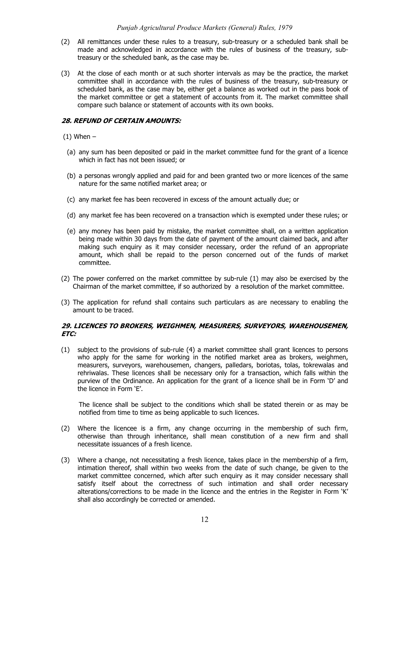- (2) All remittances under these rules to a treasury, sub-treasury or a scheduled bank shall be made and acknowledged in accordance with the rules of business of the treasury, subtreasury or the scheduled bank, as the case may be.
- (3) At the close of each month or at such shorter intervals as may be the practice, the market committee shall in accordance with the rules of business of the treasury, sub-treasury or scheduled bank, as the case may be, either get a balance as worked out in the pass book of the market committee or get a statement of accounts from it. The market committee shall compare such balance or statement of accounts with its own books.

## **28. REFUND OF CERTAIN AMOUNTS:**

 $(1)$  When  $-$ 

- (a) any sum has been deposited or paid in the market committee fund for the grant of a licence which in fact has not been issued; or
- (b) a personas wrongly applied and paid for and been granted two or more licences of the same nature for the same notified market area; or
- (c) any market fee has been recovered in excess of the amount actually due; or
- (d) any market fee has been recovered on a transaction which is exempted under these rules; or
- (e) any money has been paid by mistake, the market committee shall, on a written application being made within 30 days from the date of payment of the amount claimed back, and after making such enquiry as it may consider necessary, order the refund of an appropriate amount, which shall be repaid to the person concerned out of the funds of market committee.
- (2) The power conferred on the market committee by sub-rule (1) may also be exercised by the Chairman of the market committee, if so authorized by a resolution of the market committee.
- (3) The application for refund shall contains such particulars as are necessary to enabling the amount to be traced.

# **29. LICENCES TO BROKERS, WEIGHMEN, MEASURERS, SURVEYORS, WAREHOUSEMEN, ETC:**

(1) subject to the provisions of sub-rule (4) a market committee shall grant licences to persons who apply for the same for working in the notified market area as brokers, weighmen, measurers, surveyors, warehousemen, changers, palledars, boriotas, tolas, tokrewalas and rehriwalas. These licences shall be necessary only for a transaction, which falls within the purview of the Ordinance. An application for the grant of a licence shall be in Form 'D' and the licence in Form 'E'.

The licence shall be subject to the conditions which shall be stated therein or as may be notified from time to time as being applicable to such licences.

- (2) Where the licencee is a firm, any change occurring in the membership of such firm, otherwise than through inheritance, shall mean constitution of a new firm and shall necessitate issuances of a fresh licence.
- (3) Where a change, not necessitating a fresh licence, takes place in the membership of a firm, intimation thereof, shall within two weeks from the date of such change, be given to the market committee concerned, which after such enquiry as it may consider necessary shall satisfy itself about the correctness of such intimation and shall order necessary alterations/corrections to be made in the licence and the entries in the Register in Form 'K' shall also accordingly be corrected or amended.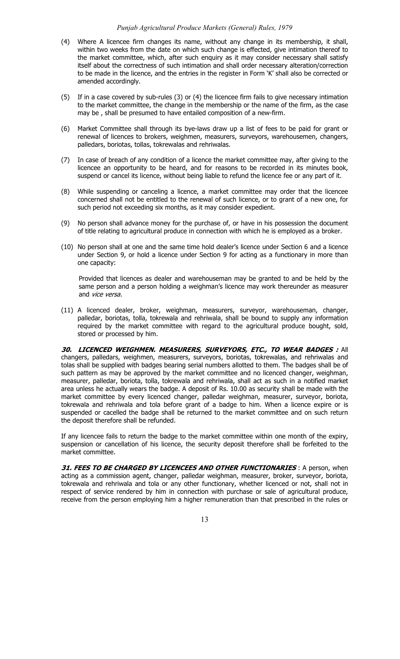#### *Punjab Agricultural Produce Markets (General) Rules, 1979*

- (4) Where A licencee firm changes its name, without any change in its membership, it shall, within two weeks from the date on which such change is effected, give intimation thereof to the market committee, which, after such enquiry as it may consider necessary shall satisfy itself about the correctness of such intimation and shall order necessary alteration/correction to be made in the licence, and the entries in the register in Form 'K' shall also be corrected or amended accordingly.
- (5) If in a case covered by sub-rules (3) or (4) the licencee firm fails to give necessary intimation to the market committee, the change in the membership or the name of the firm, as the case may be , shall be presumed to have entailed composition of a new-firm.
- (6) Market Committee shall through its bye-laws draw up a list of fees to be paid for grant or renewal of licences to brokers, weighmen, measurers, surveyors, warehousemen, changers, palledars, boriotas, tollas, tokrewalas and rehriwalas.
- (7) In case of breach of any condition of a licence the market committee may, after giving to the licencee an opportunity to be heard, and for reasons to be recorded in its minutes book, suspend or cancel its licence, without being liable to refund the licence fee or any part of it.
- (8) While suspending or canceling a licence, a market committee may order that the licencee concerned shall not be entitled to the renewal of such licence, or to grant of a new one, for such period not exceeding six months, as it may consider expedient.
- (9) No person shall advance money for the purchase of, or have in his possession the document of title relating to agricultural produce in connection with which he is employed as a broker.
- (10) No person shall at one and the same time hold dealer's licence under Section 6 and a licence under Section 9, or hold a licence under Section 9 for acting as a functionary in more than one capacity:

Provided that licences as dealer and warehouseman may be granted to and be held by the same person and a person holding a weighman's licence may work thereunder as measurer and vice versa.

(11) A licenced dealer, broker, weighman, measurers, surveyor, warehouseman, changer, palledar, boriotas, tolla, tokrewala and rehriwala, shall be bound to supply any information required by the market committee with regard to the agricultural produce bought, sold, stored or processed by him.

**30. LICENCED WEIGHMEN. MEASURERS, SURVEYORS, ETC., TO WEAR BADGES :** All changers, palledars, weighmen, measurers, surveyors, boriotas, tokrewalas, and rehriwalas and tolas shall be supplied with badges bearing serial numbers allotted to them. The badges shall be of such pattern as may be approved by the market committee and no licenced changer, weighman, measurer, palledar, boriota, tolla, tokrewala and rehriwala, shall act as such in a notified market area unless he actually wears the badge. A deposit of Rs. 10.00 as security shall be made with the market committee by every licenced changer, palledar weighman, measurer, surveyor, boriota, tokrewala and rehriwala and tola before grant of a badge to him. When a licence expire or is suspended or cacelled the badge shall be returned to the market committee and on such return the deposit therefore shall be refunded.

If any licencee fails to return the badge to the market committee within one month of the expiry, suspension or cancellation of his licence, the security deposit therefore shall be forfeited to the market committee.

**31. FEES TO BE CHARGED BY LICENCEES AND OTHER FUNCTIONARIES** : A person, when acting as a commission agent, changer, palledar weighman, measurer, broker, surveyor, boriota, tokrewala and rehriwala and tola or any other functionary, whether licenced or not, shall not in respect of service rendered by him in connection with purchase or sale of agricultural produce, receive from the person employing him a higher remuneration than that prescribed in the rules or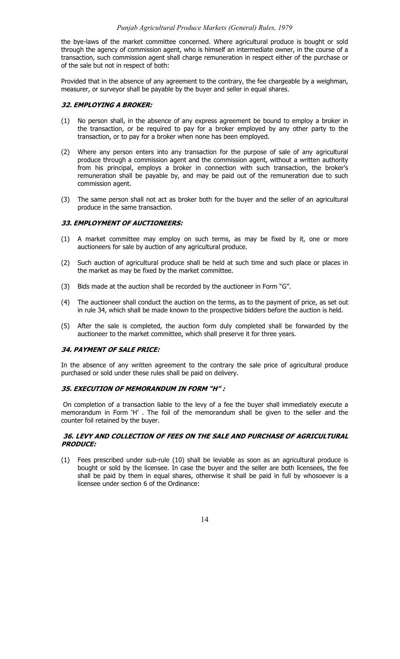the bye-laws of the market committee concerned. Where agricultural produce is bought or sold through the agency of commission agent, who is himself an intermediate owner, in the course of a transaction, such commission agent shall charge remuneration in respect either of the purchase or of the sale but not in respect of both:

Provided that in the absence of any agreement to the contrary, the fee chargeable by a weighman, measurer, or surveyor shall be payable by the buyer and seller in equal shares.

## **32. EMPLOYING A BROKER:**

- (1) No person shall, in the absence of any express agreement be bound to employ a broker in the transaction, or be required to pay for a broker employed by any other party to the transaction, or to pay for a broker when none has been employed.
- (2) Where any person enters into any transaction for the purpose of sale of any agricultural produce through a commission agent and the commission agent, without a written authority from his principal, employs a broker in connection with such transaction, the broker's remuneration shall be payable by, and may be paid out of the remuneration due to such commission agent.
- (3) The same person shall not act as broker both for the buyer and the seller of an agricultural produce in the same transaction.

#### **33. EMPLOYMENT OF AUCTIONEERS:**

- (1) A market committee may employ on such terms, as may be fixed by it, one or more auctioneers for sale by auction of any agricultural produce.
- (2) Such auction of agricultural produce shall be held at such time and such place or places in the market as may be fixed by the market committee.
- (3) Bids made at the auction shall be recorded by the auctioneer in Form "G".
- (4) The auctioneer shall conduct the auction on the terms, as to the payment of price, as set out in rule 34, which shall be made known to the prospective bidders before the auction is held.
- (5) After the sale is completed, the auction form duly completed shall be forwarded by the auctioneer to the market committee, which shall preserve it for three years.

#### **34. PAYMENT OF SALE PRICE:**

In the absence of any written agreement to the contrary the sale price of agricultural produce purchased or sold under these rules shall be paid on delivery.

#### **35. EXECUTION OF MEMORANDUM IN FORM "H" :**

 On completion of a transaction liable to the levy of a fee the buyer shall immediately execute a memorandum in Form 'H' . The foil of the memorandum shall be given to the seller and the counter foil retained by the buyer.

# **36. LEVY AND COLLECTION OF FEES ON THE SALE AND PURCHASE OF AGRICULTURAL PRODUCE:**

(1) Fees prescribed under sub-rule (10) shall be leviable as soon as an agricultural produce is bought or sold by the licensee. In case the buyer and the seller are both licensees, the fee shall be paid by them in equal shares, otherwise it shall be paid in full by whosoever is a licensee under section 6 of the Ordinance: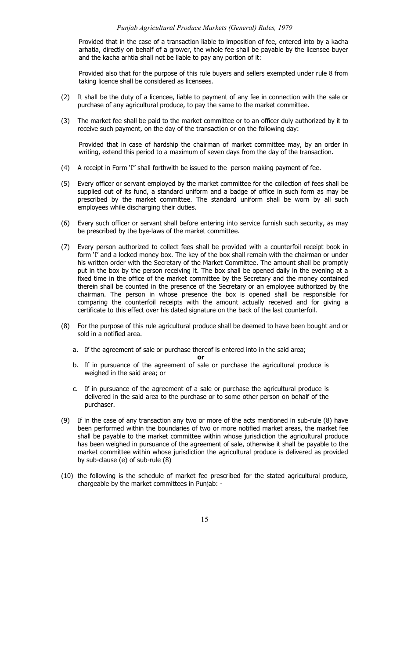Provided that in the case of a transaction liable to imposition of fee, entered into by a kacha arhatia, directly on behalf of a grower, the whole fee shall be payable by the licensee buyer and the kacha arhtia shall not be liable to pay any portion of it:

Provided also that for the purpose of this rule buyers and sellers exempted under rule 8 from taking licence shall be considered as licensees.

- (2) It shall be the duty of a licencee, liable to payment of any fee in connection with the sale or purchase of any agricultural produce, to pay the same to the market committee.
- (3) The market fee shall be paid to the market committee or to an officer duly authorized by it to receive such payment, on the day of the transaction or on the following day:

Provided that in case of hardship the chairman of market committee may, by an order in writing, extend this period to a maximum of seven days from the day of the transaction.

- (4) A receipt in Form 'I" shall forthwith be issued to the person making payment of fee.
- (5) Every officer or servant employed by the market committee for the collection of fees shall be supplied out of its fund, a standard uniform and a badge of office in such form as may be prescribed by the market committee. The standard uniform shall be worn by all such employees while discharging their duties.
- (6) Every such officer or servant shall before entering into service furnish such security, as may be prescribed by the bye-laws of the market committee.
- (7) Every person authorized to collect fees shall be provided with a counterfoil receipt book in form 'I' and a locked money box. The key of the box shall remain with the chairman or under his written order with the Secretary of the Market Committee. The amount shall be promptly put in the box by the person receiving it. The box shall be opened daily in the evening at a fixed time in the office of the market committee by the Secretary and the money contained therein shall be counted in the presence of the Secretary or an employee authorized by the chairman. The person in whose presence the box is opened shall be responsible for comparing the counterfoil receipts with the amount actually received and for giving a certificate to this effect over his dated signature on the back of the last counterfoil.
- (8) For the purpose of this rule agricultural produce shall be deemed to have been bought and or sold in a notified area.
	- a. If the agreement of sale or purchase thereof is entered into in the said area;

**or** 

- b. If in pursuance of the agreement of sale or purchase the agricultural produce is weighed in the said area; or
- c. If in pursuance of the agreement of a sale or purchase the agricultural produce is delivered in the said area to the purchase or to some other person on behalf of the purchaser.
- (9) If in the case of any transaction any two or more of the acts mentioned in sub-rule (8) have been performed within the boundaries of two or more notified market areas, the market fee shall be payable to the market committee within whose jurisdiction the agricultural produce has been weighed in pursuance of the agreement of sale, otherwise it shall be payable to the market committee within whose jurisdiction the agricultural produce is delivered as provided by sub-clause (e) of sub-rule (8)
- (10) the following is the schedule of market fee prescribed for the stated agricultural produce, chargeable by the market committees in Punjab: -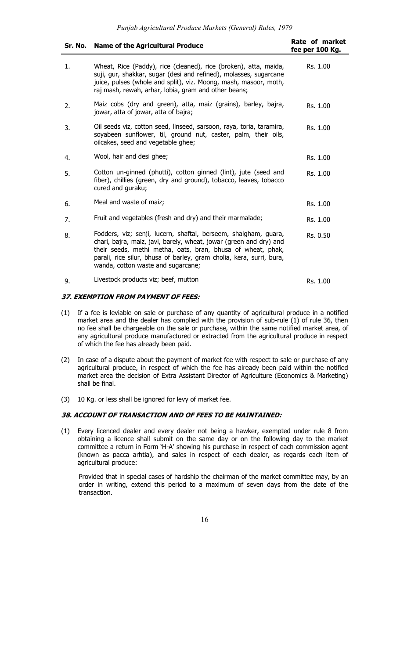| Sr. No. | <b>Name of the Agricultural Produce</b>                                                                                                                                                                                                                                                                            | <b>Rate of market</b><br>fee per 100 Kg. |
|---------|--------------------------------------------------------------------------------------------------------------------------------------------------------------------------------------------------------------------------------------------------------------------------------------------------------------------|------------------------------------------|
| 1.      | Wheat, Rice (Paddy), rice (cleaned), rice (broken), atta, maida,<br>suji, gur, shakkar, sugar (desi and refined), molasses, sugarcane<br>juice, pulses (whole and split), viz. Moong, mash, masoor, moth,<br>raj mash, rewah, arhar, lobia, gram and other beans;                                                  | Rs. 1.00                                 |
| 2.      | Maiz cobs (dry and green), atta, maiz (grains), barley, bajra,<br>jowar, atta of jowar, atta of bajra;                                                                                                                                                                                                             | Rs. 1.00                                 |
| 3.      | Oil seeds viz, cotton seed, linseed, sarsoon, raya, toria, taramira,<br>soyabeen sunflower, til, ground nut, caster, palm, their oils,<br>oilcakes, seed and vegetable ghee;                                                                                                                                       | Rs. 1.00                                 |
| 4.      | Wool, hair and desi ghee;                                                                                                                                                                                                                                                                                          | Rs. 1.00                                 |
| 5.      | Cotton un-ginned (phutti), cotton ginned (lint), jute (seed and<br>fiber), chillies (green, dry and ground), tobacco, leaves, tobacco<br>cured and guraku;                                                                                                                                                         | Rs. 1.00                                 |
| 6.      | Meal and waste of maiz;                                                                                                                                                                                                                                                                                            | Rs. 1.00                                 |
| 7.      | Fruit and vegetables (fresh and dry) and their marmalade;                                                                                                                                                                                                                                                          | Rs. 1.00                                 |
| 8.      | Fodders, viz; senji, lucern, shaftal, berseem, shalgham, guara,<br>chari, bajra, maiz, javi, barely, wheat, jowar (green and dry) and<br>their seeds, methi metha, oats, bran, bhusa of wheat, phak,<br>parali, rice silur, bhusa of barley, gram cholia, kera, surri, bura,<br>wanda, cotton waste and sugarcane; | Rs. 0.50                                 |
| 9.      | Livestock products viz; beef, mutton                                                                                                                                                                                                                                                                               | Rs. 1.00                                 |

#### **37. EXEMPTION FROM PAYMENT OF FEES:**

- (1) If a fee is leviable on sale or purchase of any quantity of agricultural produce in a notified market area and the dealer has complied with the provision of sub-rule (1) of rule 36, then no fee shall be chargeable on the sale or purchase, within the same notified market area, of any agricultural produce manufactured or extracted from the agricultural produce in respect of which the fee has already been paid.
- (2) In case of a dispute about the payment of market fee with respect to sale or purchase of any agricultural produce, in respect of which the fee has already been paid within the notified market area the decision of Extra Assistant Director of Agriculture (Economics & Marketing) shall be final.
- (3) 10 Kg. or less shall be ignored for levy of market fee.

#### **38. ACCOUNT OF TRANSACTION AND OF FEES TO BE MAINTAINED:**

(1) Every licenced dealer and every dealer not being a hawker, exempted under rule 8 from obtaining a licence shall submit on the same day or on the following day to the market committee a return in Form 'H-A' showing his purchase in respect of each commission agent (known as pacca arhtia), and sales in respect of each dealer, as regards each item of agricultural produce:

Provided that in special cases of hardship the chairman of the market committee may, by an order in writing, extend this period to a maximum of seven days from the date of the transaction.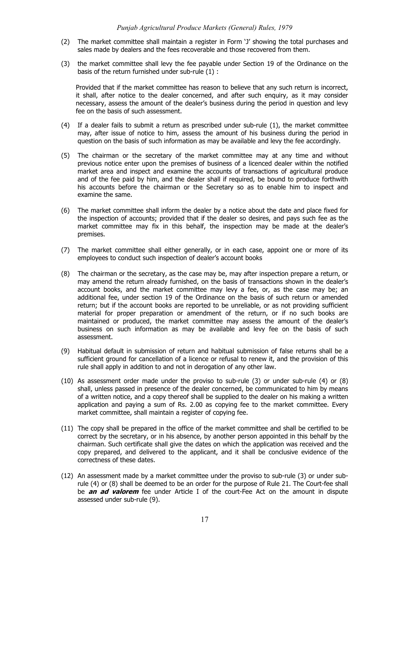- (2) The market committee shall maintain a register in Form 'J' showing the total purchases and sales made by dealers and the fees recoverable and those recovered from them.
- (3) the market committee shall levy the fee payable under Section 19 of the Ordinance on the basis of the return furnished under sub-rule (1) :

Provided that if the market committee has reason to believe that any such return is incorrect, it shall, after notice to the dealer concerned, and after such enquiry, as it may consider necessary, assess the amount of the dealer's business during the period in question and levy fee on the basis of such assessment.

- (4) If a dealer fails to submit a return as prescribed under sub-rule (1), the market committee may, after issue of notice to him, assess the amount of his business during the period in question on the basis of such information as may be available and levy the fee accordingly.
- (5) The chairman or the secretary of the market committee may at any time and without previous notice enter upon the premises of business of a licenced dealer within the notified market area and inspect and examine the accounts of transactions of agricultural produce and of the fee paid by him, and the dealer shall if required, be bound to produce forthwith his accounts before the chairman or the Secretary so as to enable him to inspect and examine the same.
- (6) The market committee shall inform the dealer by a notice about the date and place fixed for the inspection of accounts; provided that if the dealer so desires, and pays such fee as the market committee may fix in this behalf, the inspection may be made at the dealer's premises.
- (7) The market committee shall either generally, or in each case, appoint one or more of its employees to conduct such inspection of dealer's account books
- (8) The chairman or the secretary, as the case may be, may after inspection prepare a return, or may amend the return already furnished, on the basis of transactions shown in the dealer's account books, and the market committee may levy a fee, or, as the case may be; an additional fee, under section 19 of the Ordinance on the basis of such return or amended return; but if the account books are reported to be unreliable, or as not providing sufficient material for proper preparation or amendment of the return, or if no such books are maintained or produced, the market committee may assess the amount of the dealer's business on such information as may be available and levy fee on the basis of such assessment.
- Habitual default in submission of return and habitual submission of false returns shall be a sufficient ground for cancellation of a licence or refusal to renew it, and the provision of this rule shall apply in addition to and not in derogation of any other law.
- (10) As assessment order made under the proviso to sub-rule (3) or under sub-rule (4) or (8) shall, unless passed in presence of the dealer concerned, be communicated to him by means of a written notice, and a copy thereof shall be supplied to the dealer on his making a written application and paying a sum of Rs. 2.00 as copying fee to the market committee. Every market committee, shall maintain a register of copying fee.
- (11) The copy shall be prepared in the office of the market committee and shall be certified to be correct by the secretary, or in his absence, by another person appointed in this behalf by the chairman. Such certificate shall give the dates on which the application was received and the copy prepared, and delivered to the applicant, and it shall be conclusive evidence of the correctness of these dates.
- (12) An assessment made by a market committee under the proviso to sub-rule (3) or under subrule (4) or (8) shall be deemed to be an order for the purpose of Rule 21. The Court-fee shall be **an ad valorem** fee under Article I of the court-Fee Act on the amount in dispute assessed under sub-rule (9).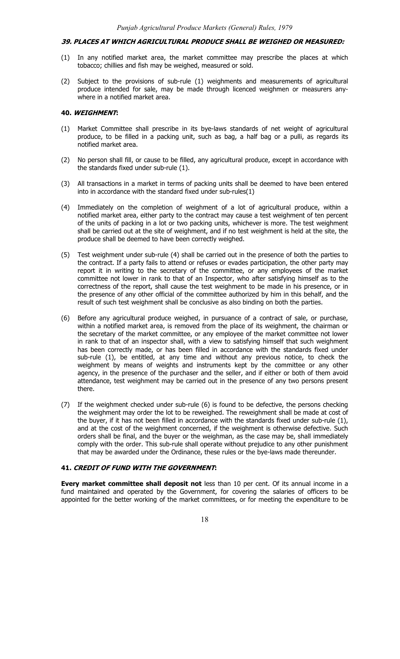#### **39. PLACES AT WHICH AGRICULTURAL PRODUCE SHALL BE WEIGHED OR MEASURED:**

- (1) In any notified market area, the market committee may prescribe the places at which tobacco; chillies and fish may be weighed, measured or sold.
- (2) Subject to the provisions of sub-rule (1) weighments and measurements of agricultural produce intended for sale, may be made through licenced weighmen or measurers anywhere in a notified market area.

### **40. WEIGHMENT:**

- (1) Market Committee shall prescribe in its bye-laws standards of net weight of agricultural produce, to be filled in a packing unit, such as bag, a half bag or a pulli, as regards its notified market area.
- (2) No person shall fill, or cause to be filled, any agricultural produce, except in accordance with the standards fixed under sub-rule (1).
- (3) All transactions in a market in terms of packing units shall be deemed to have been entered into in accordance with the standard fixed under sub-rules(1)
- (4) Immediately on the completion of weighment of a lot of agricultural produce, within a notified market area, either party to the contract may cause a test weighment of ten percent of the units of packing in a lot or two packing units, whichever is more. The test weighment shall be carried out at the site of weighment, and if no test weighment is held at the site, the produce shall be deemed to have been correctly weighed.
- (5) Test weighment under sub-rule (4) shall be carried out in the presence of both the parties to the contract. If a party fails to attend or refuses or evades participation, the other party may report it in writing to the secretary of the committee, or any employees of the market committee not lower in rank to that of an Inspector, who after satisfying himself as to the correctness of the report, shall cause the test weighment to be made in his presence, or in the presence of any other official of the committee authorized by him in this behalf, and the result of such test weighment shall be conclusive as also binding on both the parties.
- (6) Before any agricultural produce weighed, in pursuance of a contract of sale, or purchase, within a notified market area, is removed from the place of its weighment, the chairman or the secretary of the market committee, or any employee of the market committee not lower in rank to that of an inspector shall, with a view to satisfying himself that such weighment has been correctly made, or has been filled in accordance with the standards fixed under sub-rule (1), be entitled, at any time and without any previous notice, to check the weighment by means of weights and instruments kept by the committee or any other agency, in the presence of the purchaser and the seller, and if either or both of them avoid attendance, test weighment may be carried out in the presence of any two persons present there.
- (7) If the weighment checked under sub-rule (6) is found to be defective, the persons checking the weighment may order the lot to be reweighed. The reweighment shall be made at cost of the buyer, if it has not been filled in accordance with the standards fixed under sub-rule (1), and at the cost of the weighment concerned, if the weighment is otherwise defective. Such orders shall be final, and the buyer or the weighman, as the case may be, shall immediately comply with the order. This sub-rule shall operate without prejudice to any other punishment that may be awarded under the Ordinance, these rules or the bye-laws made thereunder.

#### **41. CREDIT OF FUND WITH THE GOVERNMENT:**

**Every market committee shall deposit not** less than 10 per cent. Of its annual income in a fund maintained and operated by the Government, for covering the salaries of officers to be appointed for the better working of the market committees, or for meeting the expenditure to be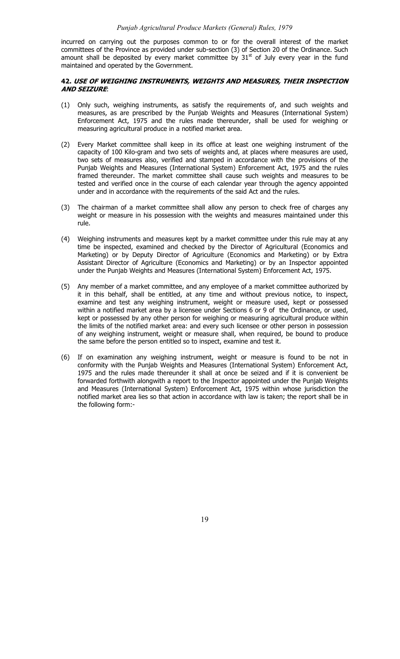incurred on carrying out the purposes common to or for the overall interest of the market committees of the Province as provided under sub-section (3) of Section 20 of the Ordinance. Such amount shall be deposited by every market committee by  $31<sup>st</sup>$  of July every year in the fund maintained and operated by the Government.

## **42. USE OF WEIGHING INSTRUMENTS, WEIGHTS AND MEASURES, THEIR INSPECTION AND SEIZURE**:

- (1) Only such, weighing instruments, as satisfy the requirements of, and such weights and measures, as are prescribed by the Punjab Weights and Measures (International System) Enforcement Act, 1975 and the rules made thereunder, shall be used for weighing or measuring agricultural produce in a notified market area.
- (2) Every Market committee shall keep in its office at least one weighing instrument of the capacity of 100 Kilo-gram and two sets of weights and, at places where measures are used, two sets of measures also, verified and stamped in accordance with the provisions of the Punjab Weights and Measures (International System) Enforcement Act, 1975 and the rules framed thereunder. The market committee shall cause such weights and measures to be tested and verified once in the course of each calendar year through the agency appointed under and in accordance with the requirements of the said Act and the rules.
- (3) The chairman of a market committee shall allow any person to check free of charges any weight or measure in his possession with the weights and measures maintained under this rule.
- (4) Weighing instruments and measures kept by a market committee under this rule may at any time be inspected, examined and checked by the Director of Agricultural (Economics and Marketing) or by Deputy Director of Agriculture (Economics and Marketing) or by Extra Assistant Director of Agriculture (Economics and Marketing) or by an Inspector appointed under the Punjab Weights and Measures (International System) Enforcement Act, 1975.
- (5) Any member of a market committee, and any employee of a market committee authorized by it in this behalf, shall be entitled, at any time and without previous notice, to inspect, examine and test any weighing instrument, weight or measure used, kept or possessed within a notified market area by a licensee under Sections 6 or 9 of the Ordinance, or used, kept or possessed by any other person for weighing or measuring agricultural produce within the limits of the notified market area: and every such licensee or other person in possession of any weighing instrument, weight or measure shall, when required, be bound to produce the same before the person entitled so to inspect, examine and test it.
- (6) If on examination any weighing instrument, weight or measure is found to be not in conformity with the Punjab Weights and Measures (International System) Enforcement Act, 1975 and the rules made thereunder it shall at once be seized and if it is convenient be forwarded forthwith alongwith a report to the Inspector appointed under the Punjab Weights and Measures (International System) Enforcement Act, 1975 within whose jurisdiction the notified market area lies so that action in accordance with law is taken; the report shall be in the following form:-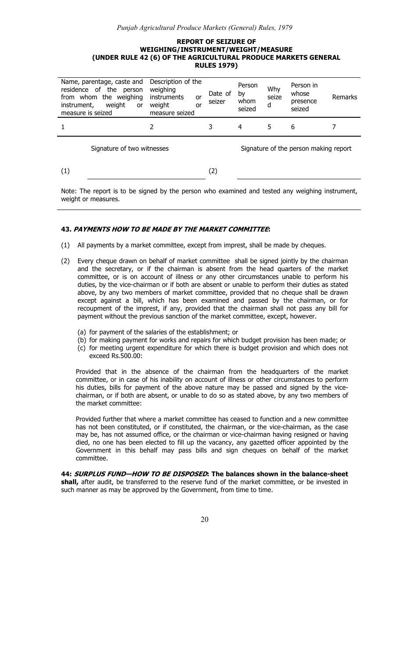# *Punjab Agricultural Produce Markets (General) Rules, 1979*

#### **REPORT OF SEIZURE OF WEIGHING/INSTRUMENT/WEIGHT/MEASURE (UNDER RULE 42 (6) OF THE AGRICULTURAL PRODUCE MARKETS GENERAL RULES 1979)**

| Name, parentage, caste and<br>residence of the person<br>from whom the weighing<br>weight<br>instrument,<br>or<br>measure is seized | Description of the<br>weighing<br>instruments<br>or<br>weight<br>or<br>measure seized | Date of<br>seizer | Person<br>by<br>whom<br>seized | Why<br>seize<br>d                     | Person in<br>whose<br>presence<br>seized | Remarks |
|-------------------------------------------------------------------------------------------------------------------------------------|---------------------------------------------------------------------------------------|-------------------|--------------------------------|---------------------------------------|------------------------------------------|---------|
|                                                                                                                                     |                                                                                       |                   | 4                              | 5                                     | 6                                        |         |
| Signature of two witnesses                                                                                                          |                                                                                       |                   |                                | Signature of the person making report |                                          |         |
| (1)                                                                                                                                 |                                                                                       | (2)               |                                |                                       |                                          |         |

Note: The report is to be signed by the person who examined and tested any weighing instrument, weight or measures.

# **43. PAYMENTS HOW TO BE MADE BY THE MARKET COMMITTEE:**

- (1) All payments by a market committee, except from imprest, shall be made by cheques.
- (2) Every cheque drawn on behalf of market committee shall be signed jointly by the chairman and the secretary, or if the chairman is absent from the head quarters of the market committee, or is on account of illness or any other circumstances unable to perform his duties, by the vice-chairman or if both are absent or unable to perform their duties as stated above, by any two members of market committee, provided that no cheque shall be drawn except against a bill, which has been examined and passed by the chairman, or for recoupment of the imprest, if any, provided that the chairman shall not pass any bill for payment without the previous sanction of the market committee, except, however.
	- (a) for payment of the salaries of the establishment; or
	- (b) for making payment for works and repairs for which budget provision has been made; or
	- (c) for meeting urgent expenditure for which there is budget provision and which does not exceed Rs.500.00:

Provided that in the absence of the chairman from the headquarters of the market committee, or in case of his inability on account of illness or other circumstances to perform his duties, bills for payment of the above nature may be passed and signed by the vicechairman, or if both are absent, or unable to do so as stated above, by any two members of the market committee:

Provided further that where a market committee has ceased to function and a new committee has not been constituted, or if constituted, the chairman, or the vice-chairman, as the case may be, has not assumed office, or the chairman or vice-chairman having resigned or having died, no one has been elected to fill up the vacancy, any gazetted officer appointed by the Government in this behalf may pass bills and sign cheques on behalf of the market committee.

**44: SURPLUS FUND—HOW TO BE DISPOSED: The balances shown in the balance-sheet**  shall, after audit, be transferred to the reserve fund of the market committee, or be invested in such manner as may be approved by the Government, from time to time.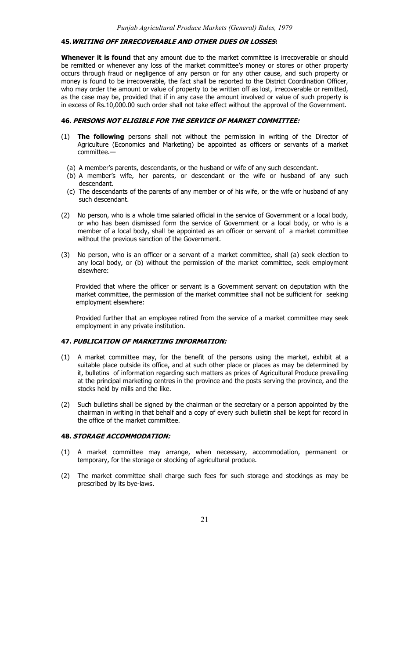## **45.WRITING OFF IRRECOVERABLE AND OTHER DUES OR LOSSES:**

**Whenever it is found** that any amount due to the market committee is irrecoverable or should be remitted or whenever any loss of the market committee's money or stores or other property occurs through fraud or negligence of any person or for any other cause, and such property or money is found to be irrecoverable, the fact shall be reported to the District Coordination Officer, who may order the amount or value of property to be written off as lost, irrecoverable or remitted, as the case may be, provided that if in any case the amount involved or value of such property is in excess of Rs.10,000.00 such order shall not take effect without the approval of the Government.

#### **46. PERSONS NOT ELIGIBLE FOR THE SERVICE OF MARKET COMMITTEE:**

- (1) **The following** persons shall not without the permission in writing of the Director of Agriculture (Economics and Marketing) be appointed as officers or servants of a market committee.—
	- (a) A member's parents, descendants, or the husband or wife of any such descendant.
	- (b) A member's wife, her parents, or descendant or the wife or husband of any such descendant.
	- (c) The descendants of the parents of any member or of his wife, or the wife or husband of any such descendant.
- (2) No person, who is a whole time salaried official in the service of Government or a local body, or who has been dismissed form the service of Government or a local body, or who is a member of a local body, shall be appointed as an officer or servant of a market committee without the previous sanction of the Government.
- (3) No person, who is an officer or a servant of a market committee, shall (a) seek election to any local body, or (b) without the permission of the market committee, seek employment elsewhere:

Provided that where the officer or servant is a Government servant on deputation with the market committee, the permission of the market committee shall not be sufficient for seeking employment elsewhere:

Provided further that an employee retired from the service of a market committee may seek employment in any private institution.

# **47. PUBLICATION OF MARKETING INFORMATION:**

- (1) A market committee may, for the benefit of the persons using the market, exhibit at a suitable place outside its office, and at such other place or places as may be determined by it, bulletins of information regarding such matters as prices of Agricultural Produce prevailing at the principal marketing centres in the province and the posts serving the province, and the stocks held by mills and the like.
- (2) Such bulletins shall be signed by the chairman or the secretary or a person appointed by the chairman in writing in that behalf and a copy of every such bulletin shall be kept for record in the office of the market committee.

## **48. STORAGE ACCOMMODATION:**

- (1) A market committee may arrange, when necessary, accommodation, permanent or temporary, for the storage or stocking of agricultural produce.
- (2) The market committee shall charge such fees for such storage and stockings as may be prescribed by its bye-laws.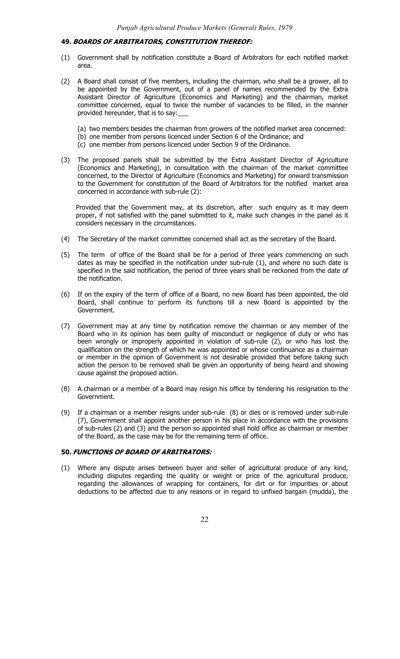#### **49. BOARDS OF ARBITRATORS, CONSTITUTION THEREOF:**

- (1) Government shall by notification constitute a Board of Arbitrators for each notified market area.
- (2) A Board shall consist of five members, including the chairman, who shall be a grower, all to be appointed by the Government, out of a panel of names recommended by the Extra Assistant Director of Agriculture (Economics and Marketing) and the chairman, market committee concerned, equal to twice the number of vacancies to be filled, in the manner provided hereunder, that is to say:\_\_\_
	- (a) two members besides the chairman from growers of the notified market area concerned:
	- (b) one member from persons licenced under Section 6 of the Ordinance; and
	- (c) one member from persons licenced under Section 9 of the Ordinance.
- (3) The proposed panels shall be submitted by the Extra Assistant Director of Agriculture (Economics and Marketing), in consultation with the chairman of the market committee concerned, to the Director of Agriculture (Economics and Marketing) for onward transmission to the Government for constitution of the Board of Arbitrators for the notified market area concerned in accordance with sub-rule (2):

Provided that the Government may, at its discretion, after such enquiry as it may deem proper, if not satisfied with the panel submitted to it, make such changes in the panel as it considers necessary in the circumstances.

- (4) The Secretary of the market committee concerned shall act as the secretary of the Board.
- (5) The term of office of the Board shall be for a period of three years commencing on such dates as may be specified in the notification under sub-rule (1), and where no such date is specified in the said notification, the period of three years shall be reckoned from the date of the notification.
- (6) If on the expiry of the term of office of a Board, no new Board has been appointed, the old Board, shall continue to perform its functions till a new Board is appointed by the Government.
- (7) Government may at any time by notification remove the chairman or any member of the Board who in its opinion has been guilty of misconduct or negligence of duty or who has been wrongly or improperly appointed in violation of sub-rule (2), or who has lost the qualification on the strength of which he was appointed or whose continuance as a chairman or member in the opinion of Government is not desirable provided that before taking such action the person to be removed shall be given an opportunity of being heard and showing cause against the proposed action.
- (8) A chairman or a member of a Board may resign his office by tendering his resignation to the Government.
- (9) If a chairman or a member resigns under sub-rule (8) or dies or is removed under sub-rule (7), Government shall appoint another person in his place in accordance with the provisions of sub-rules (2) and (3) and the person so appointed shall hold office as chairman or member of the Board, as the case may be for the remaining term of office.

### **50. FUNCTIONS OF BOARD OF ARBITRATORS:**

(1) Where any dispute arises between buyer and seller of agricultural produce of any kind, including disputes regarding the quality or weight or price of the agricultural produce, regarding the allowances of wrapping for containers, for dirt or for impurities or about deductions to be affected due to any reasons or in regard to unfixed bargain (mudda), the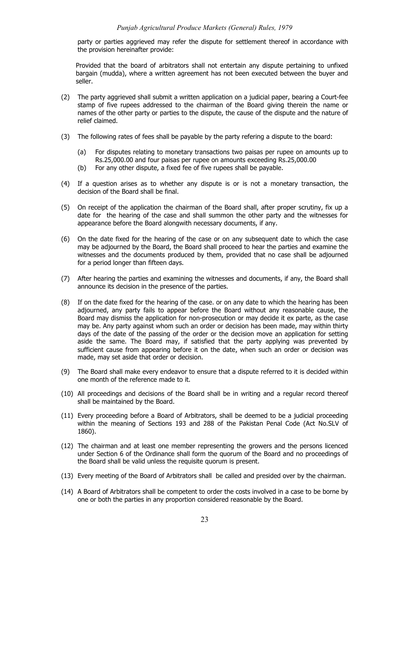party or parties aggrieved may refer the dispute for settlement thereof in accordance with the provision hereinafter provide:

Provided that the board of arbitrators shall not entertain any dispute pertaining to unfixed bargain (mudda), where a written agreement has not been executed between the buyer and seller.

- (2) The party aggrieved shall submit a written application on a judicial paper, bearing a Court-fee stamp of five rupees addressed to the chairman of the Board giving therein the name or names of the other party or parties to the dispute, the cause of the dispute and the nature of relief claimed.
- (3) The following rates of fees shall be payable by the party refering a dispute to the board:
	- (a) For disputes relating to monetary transactions two paisas per rupee on amounts up to Rs.25,000.00 and four paisas per rupee on amounts exceeding Rs.25,000.00
	- (b) For any other dispute, a fixed fee of five rupees shall be payable.
- (4) If a question arises as to whether any dispute is or is not a monetary transaction, the decision of the Board shall be final.
- (5) On receipt of the application the chairman of the Board shall, after proper scrutiny, fix up a date for the hearing of the case and shall summon the other party and the witnesses for appearance before the Board alongwith necessary documents, if any.
- (6) On the date fixed for the hearing of the case or on any subsequent date to which the case may be adjourned by the Board, the Board shall proceed to hear the parties and examine the witnesses and the documents produced by them, provided that no case shall be adjourned for a period longer than fifteen days.
- (7) After hearing the parties and examining the witnesses and documents, if any, the Board shall announce its decision in the presence of the parties.
- (8) If on the date fixed for the hearing of the case. or on any date to which the hearing has been adjourned, any party fails to appear before the Board without any reasonable cause, the Board may dismiss the application for non-prosecution or may decide it ex parte, as the case may be. Any party against whom such an order or decision has been made, may within thirty days of the date of the passing of the order or the decision move an application for setting aside the same. The Board may, if satisfied that the party applying was prevented by sufficient cause from appearing before it on the date, when such an order or decision was made, may set aside that order or decision.
- (9) The Board shall make every endeavor to ensure that a dispute referred to it is decided within one month of the reference made to it.
- (10) All proceedings and decisions of the Board shall be in writing and a regular record thereof shall be maintained by the Board.
- (11) Every proceeding before a Board of Arbitrators, shall be deemed to be a judicial proceeding within the meaning of Sections 193 and 288 of the Pakistan Penal Code (Act No.SLV of 1860).
- (12) The chairman and at least one member representing the growers and the persons licenced under Section 6 of the Ordinance shall form the quorum of the Board and no proceedings of the Board shall be valid unless the requisite quorum is present.
- (13) Every meeting of the Board of Arbitrators shall be called and presided over by the chairman.
- (14) A Board of Arbitrators shall be competent to order the costs involved in a case to be borne by one or both the parties in any proportion considered reasonable by the Board.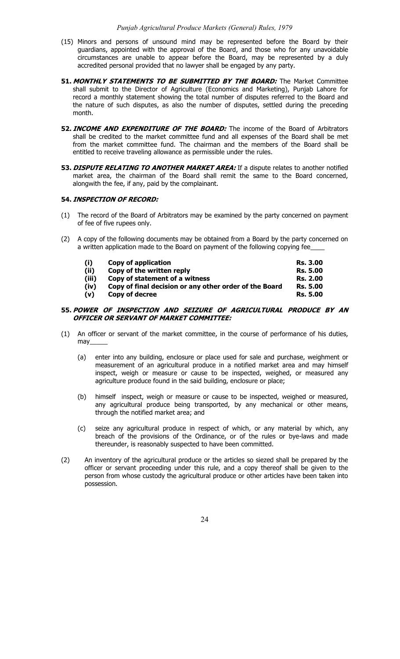- (15) Minors and persons of unsound mind may be represented before the Board by their guardians, appointed with the approval of the Board, and those who for any unavoidable circumstances are unable to appear before the Board, may be represented by a duly accredited personal provided that no lawyer shall be engaged by any party.
- **51. MONTHLY STATEMENTS TO BE SUBMITTED BY THE BOARD:** The Market Committee shall submit to the Director of Agriculture (Economics and Marketing), Punjab Lahore for record a monthly statement showing the total number of disputes referred to the Board and the nature of such disputes, as also the number of disputes, settled during the preceding month.
- **52. INCOME AND EXPENDITURE OF THE BOARD:** The income of the Board of Arbitrators shall be credited to the market committee fund and all expenses of the Board shall be met from the market committee fund. The chairman and the members of the Board shall be entitled to receive traveling allowance as permissible under the rules.
- **53. DISPUTE RELATING TO ANOTHER MARKET AREA:** If a dispute relates to another notified market area, the chairman of the Board shall remit the same to the Board concerned, alongwith the fee, if any, paid by the complainant.

#### **54. INSPECTION OF RECORD:**

- (1) The record of the Board of Arbitrators may be examined by the party concerned on payment of fee of five rupees only.
- (2) A copy of the following documents may be obtained from a Board by the party concerned on a written application made to the Board on payment of the following copying fee

| (i)   | Copy of application                                    | <b>Rs. 3.00</b> |
|-------|--------------------------------------------------------|-----------------|
| (ii)  | Copy of the written reply                              | <b>Rs. 5.00</b> |
| (iii) | Copy of statement of a witness                         | <b>Rs. 2.00</b> |
| (iv)  | Copy of final decision or any other order of the Board | <b>Rs. 5.00</b> |
| (v)   | Copy of decree                                         | <b>Rs. 5.00</b> |

## **55. POWER OF INSPECTION AND SEIZURE OF AGRICULTURAL PRODUCE BY AN OFFICER OR SERVANT OF MARKET COMMITTEE:**

- (1) An officer or servant of the market committee, in the course of performance of his duties, may\_\_\_\_\_
	- (a) enter into any building, enclosure or place used for sale and purchase, weighment or measurement of an agricultural produce in a notified market area and may himself inspect, weigh or measure or cause to be inspected, weighed, or measured any agriculture produce found in the said building, enclosure or place;
	- (b) himself inspect, weigh or measure or cause to be inspected, weighed or measured, any agricultural produce being transported, by any mechanical or other means, through the notified market area; and
	- (c) seize any agricultural produce in respect of which, or any material by which, any breach of the provisions of the Ordinance, or of the rules or bye-laws and made thereunder, is reasonably suspected to have been committed.
- (2) An inventory of the agricultural produce or the articles so siezed shall be prepared by the officer or servant proceeding under this rule, and a copy thereof shall be given to the person from whose custody the agricultural produce or other articles have been taken into possession.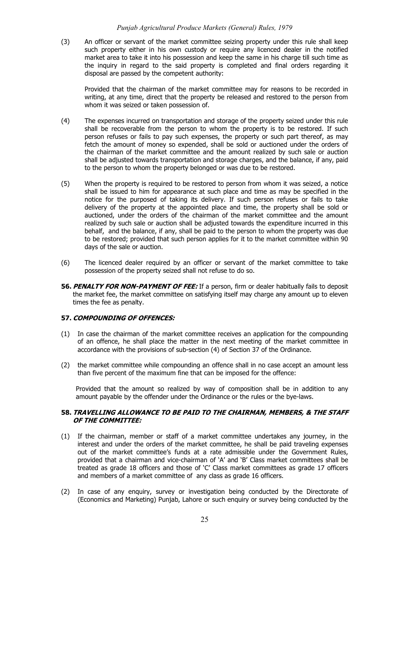#### *Punjab Agricultural Produce Markets (General) Rules, 1979*

(3) An officer or servant of the market committee seizing property under this rule shall keep such property either in his own custody or require any licenced dealer in the notified market area to take it into his possession and keep the same in his charge till such time as the inquiry in regard to the said property is completed and final orders regarding it disposal are passed by the competent authority:

Provided that the chairman of the market committee may for reasons to be recorded in writing, at any time, direct that the property be released and restored to the person from whom it was seized or taken possession of.

- (4) The expenses incurred on transportation and storage of the property seized under this rule shall be recoverable from the person to whom the property is to be restored. If such person refuses or fails to pay such expenses, the property or such part thereof, as may fetch the amount of money so expended, shall be sold or auctioned under the orders of the chairman of the market committee and the amount realized by such sale or auction shall be adjusted towards transportation and storage charges, and the balance, if any, paid to the person to whom the property belonged or was due to be restored.
- (5) When the property is required to be restored to person from whom it was seized, a notice shall be issued to him for appearance at such place and time as may be specified in the notice for the purposed of taking its delivery. If such person refuses or fails to take delivery of the property at the appointed place and time, the property shall be sold or auctioned, under the orders of the chairman of the market committee and the amount realized by such sale or auction shall be adjusted towards the expenditure incurred in this behalf, and the balance, if any, shall be paid to the person to whom the property was due to be restored; provided that such person applies for it to the market committee within 90 days of the sale or auction.
- (6) The licenced dealer required by an officer or servant of the market committee to take possession of the property seized shall not refuse to do so.
- **56. PENALTY FOR NON-PAYMENT OF FEE:** If a person, firm or dealer habitually fails to deposit the market fee, the market committee on satisfying itself may charge any amount up to eleven times the fee as penalty.

#### **57. COMPOUNDING OF OFFENCES:**

- (1) In case the chairman of the market committee receives an application for the compounding of an offence, he shall place the matter in the next meeting of the market committee in accordance with the provisions of sub-section (4) of Section 37 of the Ordinance.
- (2) the market committee while compounding an offence shall in no case accept an amount less than five percent of the maximum fine that can be imposed for the offence:

Provided that the amount so realized by way of composition shall be in addition to any amount payable by the offender under the Ordinance or the rules or the bye-laws.

# **58. TRAVELLING ALLOWANCE TO BE PAID TO THE CHAIRMAN, MEMBERS, & THE STAFF OF THE COMMITTEE:**

- (1) If the chairman, member or staff of a market committee undertakes any journey, in the interest and under the orders of the market committee, he shall be paid traveling expenses out of the market committee's funds at a rate admissible under the Government Rules, provided that a chairman and vice-chairman of 'A' and 'B' Class market committees shall be treated as grade 18 officers and those of 'C' Class market committees as grade 17 officers and members of a market committee of any class as grade 16 officers.
- (2) In case of any enquiry, survey or investigation being conducted by the Directorate of (Economics and Marketing) Punjab, Lahore or such enquiry or survey being conducted by the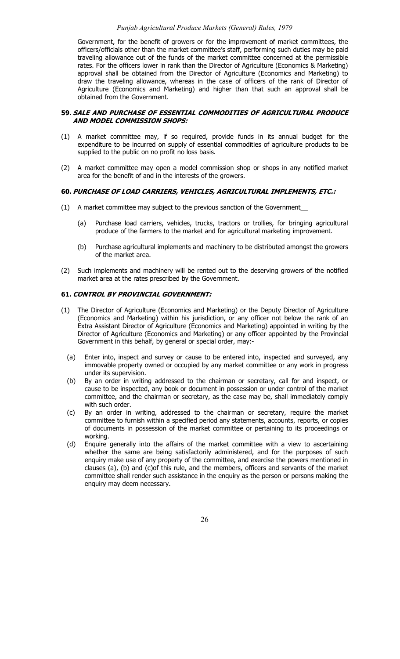## *Punjab Agricultural Produce Markets (General) Rules, 1979*

Government, for the benefit of growers or for the improvement of market committees, the officers/officials other than the market committee's staff, performing such duties may be paid traveling allowance out of the funds of the market committee concerned at the permissible rates. For the officers lower in rank than the Director of Agriculture (Economics & Marketing) approval shall be obtained from the Director of Agriculture (Economics and Marketing) to draw the traveling allowance, whereas in the case of officers of the rank of Director of Agriculture (Economics and Marketing) and higher than that such an approval shall be obtained from the Government.

## **59. SALE AND PURCHASE OF ESSENTIAL COMMODITIES OF AGRICULTURAL PRODUCE AND MODEL COMMISSION SHOPS:**

- (1) A market committee may, if so required, provide funds in its annual budget for the expenditure to be incurred on supply of essential commodities of agriculture products to be supplied to the public on no profit no loss basis.
- (2) A market committee may open a model commission shop or shops in any notified market area for the benefit of and in the interests of the growers.

#### **60. PURCHASE OF LOAD CARRIERS, VEHICLES, AGRICULTURAL IMPLEMENTS, ETC.:**

- (1) A market committee may subject to the previous sanction of the Government\_\_
	- (a) Purchase load carriers, vehicles, trucks, tractors or trollies, for bringing agricultural produce of the farmers to the market and for agricultural marketing improvement.
	- (b) Purchase agricultural implements and machinery to be distributed amongst the growers of the market area.
- (2) Such implements and machinery will be rented out to the deserving growers of the notified market area at the rates prescribed by the Government.

# **61. CONTROL BY PROVINCIAL GOVERNMENT:**

- (1) The Director of Agriculture (Economics and Marketing) or the Deputy Director of Agriculture (Economics and Marketing) within his jurisdiction, or any officer not below the rank of an Extra Assistant Director of Agriculture (Economics and Marketing) appointed in writing by the Director of Agriculture (Economics and Marketing) or any officer appointed by the Provincial Government in this behalf, by general or special order, may:-
	- (a) Enter into, inspect and survey or cause to be entered into, inspected and surveyed, any immovable property owned or occupied by any market committee or any work in progress under its supervision.
	- (b) By an order in writing addressed to the chairman or secretary, call for and inspect, or cause to be inspected, any book or document in possession or under control of the market committee, and the chairman or secretary, as the case may be, shall immediately comply with such order.
	- (c) By an order in writing, addressed to the chairman or secretary, require the market committee to furnish within a specified period any statements, accounts, reports, or copies of documents in possession of the market committee or pertaining to its proceedings or working.
	- (d) Enquire generally into the affairs of the market committee with a view to ascertaining whether the same are being satisfactorily administered, and for the purposes of such enquiry make use of any property of the committee, and exercise the powers mentioned in clauses (a), (b) and (c)of this rule, and the members, officers and servants of the market committee shall render such assistance in the enquiry as the person or persons making the enquiry may deem necessary.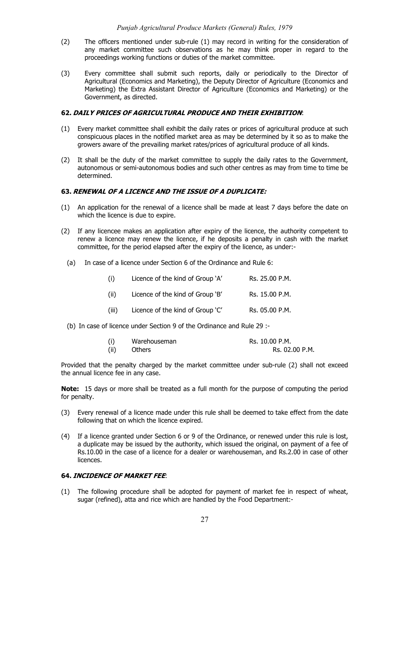- (2) The officers mentioned under sub-rule (1) may record in writing for the consideration of any market committee such observations as he may think proper in regard to the proceedings working functions or duties of the market committee.
- (3) Every committee shall submit such reports, daily or periodically to the Director of Agricultural (Economics and Marketing), the Deputy Director of Agriculture (Economics and Marketing) the Extra Assistant Director of Agriculture (Economics and Marketing) or the Government, as directed.

### **62. DAILY PRICES OF AGRICULTURAL PRODUCE AND THEIR EXHIBITION**:

- (1) Every market committee shall exhibit the daily rates or prices of agricultural produce at such conspicuous places in the notified market area as may be determined by it so as to make the growers aware of the prevailing market rates/prices of agricultural produce of all kinds.
- (2) It shall be the duty of the market committee to supply the daily rates to the Government, autonomous or semi-autonomous bodies and such other centres as may from time to time be determined.

#### **63. RENEWAL OF A LICENCE AND THE ISSUE OF A DUPLICATE:**

- (1) An application for the renewal of a licence shall be made at least 7 days before the date on which the licence is due to expire.
- (2) If any licencee makes an application after expiry of the licence, the authority competent to renew a licence may renew the licence, if he deposits a penalty in cash with the market committee, for the period elapsed after the expiry of the licence, as under:-
	- (a) In case of a licence under Section 6 of the Ordinance and Rule 6:

| (i)   | Licence of the kind of Group 'A' | Rs. 25.00 P.M. |
|-------|----------------------------------|----------------|
| (ii)  | Licence of the kind of Group 'B' | Rs. 15.00 P.M. |
| (iii) | Licence of the kind of Group 'C' | Rs. 05.00 P.M. |

(b) In case of licence under Section 9 of the Ordinance and Rule 29 :-

| (i)  | Warehouseman  | Rs. 10.00 P.M. |
|------|---------------|----------------|
| (ii) | <b>Others</b> | Rs. 02.00 P.M. |

Provided that the penalty charged by the market committee under sub-rule (2) shall not exceed the annual licence fee in any case.

**Note:** 15 days or more shall be treated as a full month for the purpose of computing the period for penalty.

- (3) Every renewal of a licence made under this rule shall be deemed to take effect from the date following that on which the licence expired.
- (4) If a licence granted under Section 6 or 9 of the Ordinance, or renewed under this rule is lost, a duplicate may be issued by the authority, which issued the original, on payment of a fee of Rs.10.00 in the case of a licence for a dealer or warehouseman, and Rs.2.00 in case of other **licences**

## **64. INCIDENCE OF MARKET FEE**:

(1) The following procedure shall be adopted for payment of market fee in respect of wheat, sugar (refined), atta and rice which are handled by the Food Department:-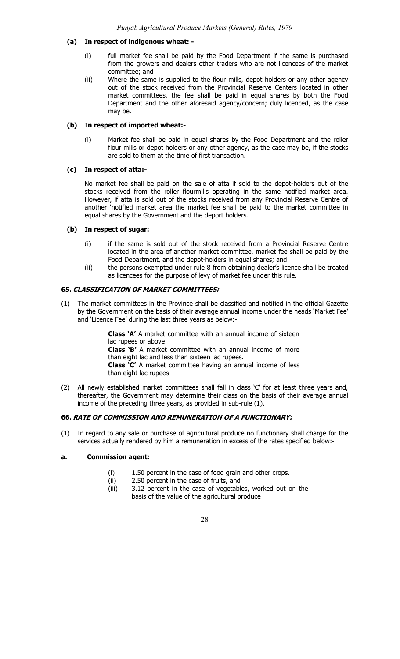## **(a) In respect of indigenous wheat: -**

- (i) full market fee shall be paid by the Food Department if the same is purchased from the growers and dealers other traders who are not licencees of the market committee; and
- (ii) Where the same is supplied to the flour mills, depot holders or any other agency out of the stock received from the Provincial Reserve Centers located in other market committees, the fee shall be paid in equal shares by both the Food Department and the other aforesaid agency/concern; duly licenced, as the case may be.

## **(b) In respect of imported wheat:-**

(i) Market fee shall be paid in equal shares by the Food Department and the roller flour mills or depot holders or any other agency, as the case may be, if the stocks are sold to them at the time of first transaction.

# **(c) In respect of atta:-**

No market fee shall be paid on the sale of atta if sold to the depot-holders out of the stocks received from the roller flourmills operating in the same notified market area. However, if atta is sold out of the stocks received from any Provincial Reserve Centre of another 'notified market area the market fee shall be paid to the market committee in equal shares by the Government and the deport holders.

## **(b) In respect of sugar:**

- (i) if the same is sold out of the stock received from a Provincial Reserve Centre located in the area of another market committee, market fee shall be paid by the Food Department, and the depot-holders in equal shares; and
- (ii) the persons exempted under rule 8 from obtaining dealer's licence shall be treated as licencees for the purpose of levy of market fee under this rule.

## **65. CLASSIFICATION OF MARKET COMMITTEES:**

(1) The market committees in the Province shall be classified and notified in the official Gazette by the Government on the basis of their average annual income under the heads 'Market Fee' and 'Licence Fee' during the last three years as below:-

> **Class 'A'** A market committee with an annual income of sixteen lac rupees or above **Class 'B'** A market committee with an annual income of more than eight lac and less than sixteen lac rupees. **Class 'C'** A market committee having an annual income of less than eight lac rupees

(2) All newly established market committees shall fall in class 'C' for at least three years and, thereafter, the Government may determine their class on the basis of their average annual income of the preceding three years, as provided in sub-rule (1).

# **66. RATE OF COMMISSION AND REMUNERATION OF A FUNCTIONARY:**

(1) In regard to any sale or purchase of agricultural produce no functionary shall charge for the services actually rendered by him a remuneration in excess of the rates specified below:-

# **a. Commission agent:**

- (i) 1.50 percent in the case of food grain and other crops.
- (ii) 2.50 percent in the case of fruits, and<br>(iii) 3.12 percent in the case of vegetable
- 3.12 percent in the case of vegetables, worked out on the basis of the value of the agricultural produce
	- 28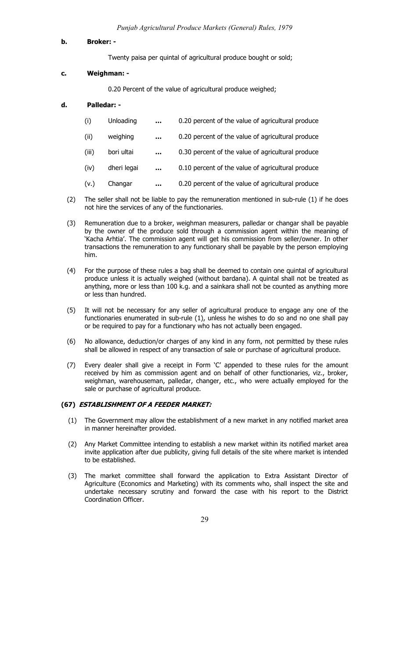#### **b. Broker: -**

Twenty paisa per quintal of agricultural produce bought or sold;

# **c. Weighman: -**

0.20 Percent of the value of agricultural produce weighed;

# **d. Palledar: -**

| (i) | Unloading |  | 0.20 percent of the value of agricultural produce |
|-----|-----------|--|---------------------------------------------------|
|-----|-----------|--|---------------------------------------------------|

- (ii) weighing **…** 0.20 percent of the value of agricultural produce
- (iii) bori ultai **…** 0.30 percent of the value of agricultural produce
- (iv) dheri legai **…** 0.10 percent of the value of agricultural produce
- (v.) Changar **…** 0.20 percent of the value of agricultural produce
- (2) The seller shall not be liable to pay the remuneration mentioned in sub-rule (1) if he does not hire the services of any of the functionaries.
- (3) Remuneration due to a broker, weighman measurers, palledar or changar shall be payable by the owner of the produce sold through a commission agent within the meaning of 'Kacha Arhtia'. The commission agent will get his commission from seller/owner. In other transactions the remuneration to any functionary shall be payable by the person employing him.
- (4) For the purpose of these rules a bag shall be deemed to contain one quintal of agricultural produce unless it is actually weighed (without bardana). A quintal shall not be treated as anything, more or less than 100 k.g. and a sainkara shall not be counted as anything more or less than hundred.
- (5) It will not be necessary for any seller of agricultural produce to engage any one of the functionaries enumerated in sub-rule (1), unless he wishes to do so and no one shall pay or be required to pay for a functionary who has not actually been engaged.
- (6) No allowance, deduction/or charges of any kind in any form, not permitted by these rules shall be allowed in respect of any transaction of sale or purchase of agricultural produce.
- (7) Every dealer shall give a receipt in Form 'C' appended to these rules for the amount received by him as commission agent and on behalf of other functionaries, viz., broker, weighman, warehouseman, palledar, changer, etc., who were actually employed for the sale or purchase of agricultural produce.

#### **(67) ESTABLISHMENT OF A FEEDER MARKET:**

- (1) The Government may allow the establishment of a new market in any notified market area in manner hereinafter provided.
- (2) Any Market Committee intending to establish a new market within its notified market area invite application after due publicity, giving full details of the site where market is intended to be established.
- (3) The market committee shall forward the application to Extra Assistant Director of Agriculture (Economics and Marketing) with its comments who, shall inspect the site and undertake necessary scrutiny and forward the case with his report to the District Coordination Officer.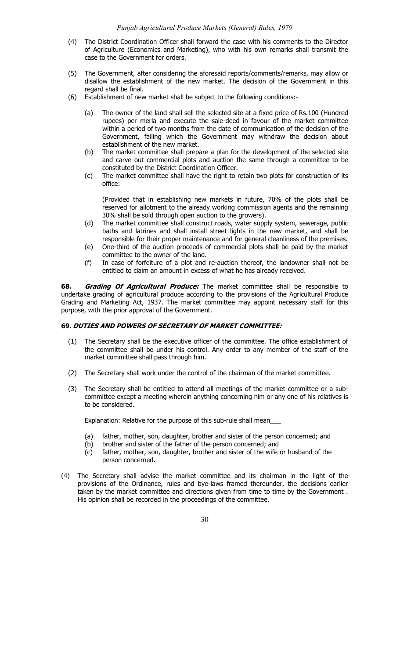- (4) The District Coordination Officer shall forward the case with his comments to the Director of Agriculture (Economics and Marketing), who with his own remarks shall transmit the case to the Government for orders.
- (5) The Government, after considering the aforesaid reports/comments/remarks, may allow or disallow the establishment of the new market. The decision of the Government in this regard shall be final.
- (6) Establishment of new market shall be subject to the following conditions:-
	- (a) The owner of the land shall sell the selected site at a fixed price of Rs.100 (Hundred rupees) per merla and execute the sale-deed in favour of the market committee within a period of two months from the date of communication of the decision of the Government, failing which the Government may withdraw the decision about establishment of the new market.
	- (b) The market committee shall prepare a plan for the development of the selected site and carve out commercial plots and auction the same through a committee to be constituted by the District Coordination Officer.
	- (c) The market committee shall have the right to retain two plots for construction of its office:

(Provided that in establishing new markets in future, 70% of the plots shall be reserved for allotment to the already working commission agents and the remaining 30% shall be sold through open auction to the growers).

- (d) The market committee shall construct roads, water supply system, sewerage, public baths and latrines and shall install street lights in the new market, and shall be responsible for their proper maintenance and for general cleanliness of the premises.
- (e) One-third of the auction proceeds of commercial plots shall be paid by the market committee to the owner of the land.
- (f) In case of forfeiture of a plot and re-auction thereof, the landowner shall not be entitled to claim an amount in excess of what he has already received.

**68. Grading Of Agricultural Produce:** The market committee shall be responsible to undertake grading of agricultural produce according to the provisions of the Agricultural Produce Grading and Marketing Act, 1937. The market committee may appoint necessary staff for this purpose, with the prior approval of the Government.

# **69. DUTIES AND POWERS OF SECRETARY OF MARKET COMMITTEE:**

- (1) The Secretary shall be the executive officer of the committee. The office establishment of the committee shall be under his control. Any order to any member of the staff of the market committee shall pass through him.
- (2) The Secretary shall work under the control of the chairman of the market committee.
- (3) The Secretary shall be entitled to attend all meetings of the market committee or a subcommittee except a meeting wherein anything concerning him or any one of his relatives is to be considered.

Explanation: Relative for the purpose of this sub-rule shall mean\_\_\_

- (a) father, mother, son, daughter, brother and sister of the person concerned; and
- (b) brother and sister of the father of the person concerned; and
- (c) father, mother, son, daughter, brother and sister of the wife or husband of the person concerned.
- (4) The Secretary shall advise the market committee and its chairman in the light of the provisions of the Ordinance, rules and bye-laws framed thereunder, the decisions earlier taken by the market committee and directions given from time to time by the Government . His opinion shall be recorded in the proceedings of the committee.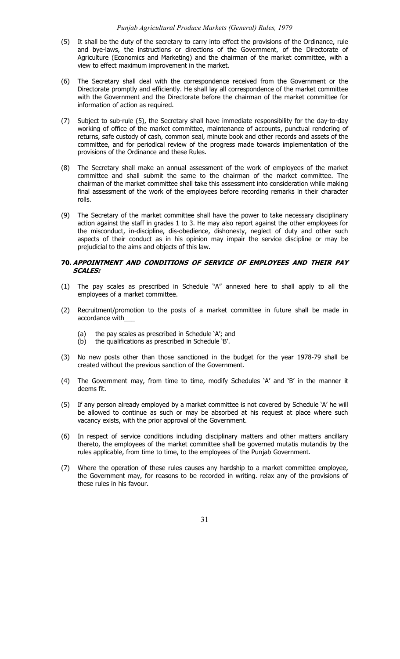#### *Punjab Agricultural Produce Markets (General) Rules, 1979*

- (5) It shall be the duty of the secretary to carry into effect the provisions of the Ordinance, rule and bye-laws, the instructions or directions of the Government, of the Directorate of Agriculture (Economics and Marketing) and the chairman of the market committee, with a view to effect maximum improvement in the market.
- (6) The Secretary shall deal with the correspondence received from the Government or the Directorate promptly and efficiently. He shall lay all correspondence of the market committee with the Government and the Directorate before the chairman of the market committee for information of action as required.
- (7) Subject to sub-rule (5), the Secretary shall have immediate responsibility for the day-to-day working of office of the market committee, maintenance of accounts, punctual rendering of returns, safe custody of cash, common seal, minute book and other records and assets of the committee, and for periodical review of the progress made towards implementation of the provisions of the Ordinance and these Rules.
- (8) The Secretary shall make an annual assessment of the work of employees of the market committee and shall submit the same to the chairman of the market committee. The chairman of the market committee shall take this assessment into consideration while making final assessment of the work of the employees before recording remarks in their character rolls.
- (9) The Secretary of the market committee shall have the power to take necessary disciplinary action against the staff in grades 1 to 3. He may also report against the other employees for the misconduct, in-discipline, dis-obedience, dishonesty, neglect of duty and other such aspects of their conduct as in his opinion may impair the service discipline or may be prejudicial to the aims and objects of this law.

# **70. APPOINTMENT AND CONDITIONS OF SERVICE OF EMPLOYEES AND THEIR PAY SCALES:**

- (1) The pay scales as prescribed in Schedule "A" annexed here to shall apply to all the employees of a market committee.
- (2) Recruitment/promotion to the posts of a market committee in future shall be made in accordance with\_\_\_
	- (a) the pay scales as prescribed in Schedule 'A'; and
	- (b) the qualifications as prescribed in Schedule 'B'.
- No new posts other than those sanctioned in the budget for the year 1978-79 shall be created without the previous sanction of the Government.
- (4) The Government may, from time to time, modify Schedules 'A' and 'B' in the manner it deems fit.
- (5) If any person already employed by a market committee is not covered by Schedule 'A' he will be allowed to continue as such or may be absorbed at his request at place where such vacancy exists, with the prior approval of the Government.
- (6) In respect of service conditions including disciplinary matters and other matters ancillary thereto, the employees of the market committee shall be governed mutatis mutandis by the rules applicable, from time to time, to the employees of the Punjab Government.
- (7) Where the operation of these rules causes any hardship to a market committee employee, the Government may, for reasons to be recorded in writing. relax any of the provisions of these rules in his favour.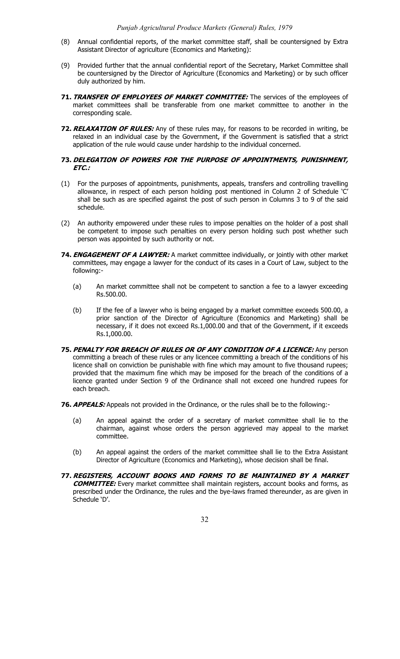- (8) Annual confidential reports, of the market committee staff, shall be countersigned by Extra Assistant Director of agriculture (Economics and Marketing):
- (9) Provided further that the annual confidential report of the Secretary, Market Committee shall be countersigned by the Director of Agriculture (Economics and Marketing) or by such officer duly authorized by him.
- **71. TRANSFER OF EMPLOYEES OF MARKET COMMITTEE:** The services of the employees of market committees shall be transferable from one market committee to another in the corresponding scale.
- **72. RELAXATION OF RULES:** Any of these rules may, for reasons to be recorded in writing, be relaxed in an individual case by the Government, if the Government is satisfied that a strict application of the rule would cause under hardship to the individual concerned.

# **73. DELEGATION OF POWERS FOR THE PURPOSE OF APPOINTMENTS, PUNISHMENT, ETC.:**

- (1) For the purposes of appointments, punishments, appeals, transfers and controlling travelling allowance, in respect of each person holding post mentioned in Column 2 of Schedule 'C' shall be such as are specified against the post of such person in Columns 3 to 9 of the said schedule.
- (2) An authority empowered under these rules to impose penalties on the holder of a post shall be competent to impose such penalties on every person holding such post whether such person was appointed by such authority or not.
- **74. ENGAGEMENT OF A LAWYER:** A market committee individually, or jointly with other market committees, may engage a lawyer for the conduct of its cases in a Court of Law, subject to the following:-
	- (a) An market committee shall not be competent to sanction a fee to a lawyer exceeding Rs.500.00.
	- (b) If the fee of a lawyer who is being engaged by a market committee exceeds 500.00, a prior sanction of the Director of Agriculture (Economics and Marketing) shall be necessary, if it does not exceed Rs.1,000.00 and that of the Government, if it exceeds Rs.1,000.00.
- **75. PENALTY FOR BREACH OF RULES OR OF ANY CONDITION OF A LICENCE:** Any person committing a breach of these rules or any licencee committing a breach of the conditions of his licence shall on conviction be punishable with fine which may amount to five thousand rupees; provided that the maximum fine which may be imposed for the breach of the conditions of a licence granted under Section 9 of the Ordinance shall not exceed one hundred rupees for each breach.
- **76. APPEALS:** Appeals not provided in the Ordinance, or the rules shall be to the following:-
	- (a) An appeal against the order of a secretary of market committee shall lie to the chairman, against whose orders the person aggrieved may appeal to the market committee.
	- (b) An appeal against the orders of the market committee shall lie to the Extra Assistant Director of Agriculture (Economics and Marketing), whose decision shall be final.
- **77. REGISTERS, ACCOUNT BOOKS AND FORMS TO BE MAINTAINED BY A MARKET COMMITTEE:** Every market committee shall maintain registers, account books and forms, as prescribed under the Ordinance, the rules and the bye-laws framed thereunder, as are given in Schedule 'D'.